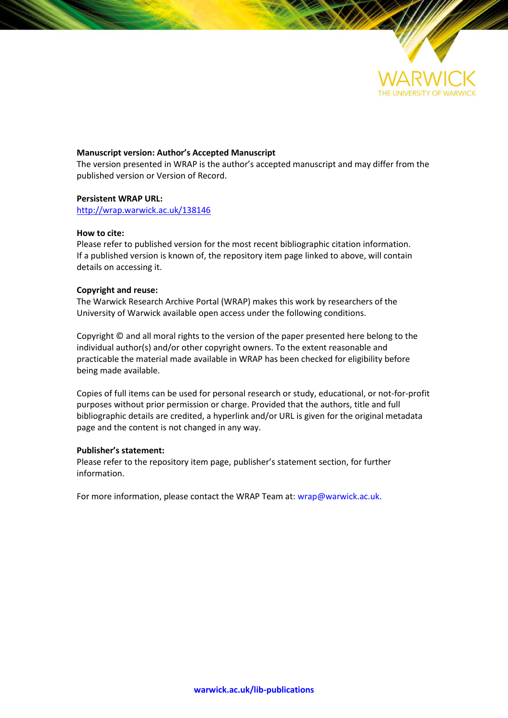

## **Manuscript version: Author's Accepted Manuscript**

The version presented in WRAP is the author's accepted manuscript and may differ from the published version or Version of Record.

### **Persistent WRAP URL:**

<http://wrap.warwick.ac.uk/138146>

### **How to cite:**

Please refer to published version for the most recent bibliographic citation information. If a published version is known of, the repository item page linked to above, will contain details on accessing it.

### **Copyright and reuse:**

The Warwick Research Archive Portal (WRAP) makes this work by researchers of the University of Warwick available open access under the following conditions.

Copyright © and all moral rights to the version of the paper presented here belong to the individual author(s) and/or other copyright owners. To the extent reasonable and practicable the material made available in WRAP has been checked for eligibility before being made available.

Copies of full items can be used for personal research or study, educational, or not-for-profit purposes without prior permission or charge. Provided that the authors, title and full bibliographic details are credited, a hyperlink and/or URL is given for the original metadata page and the content is not changed in any way.

### **Publisher's statement:**

Please refer to the repository item page, publisher's statement section, for further information.

For more information, please contact the WRAP Team at[: wrap@warwick.ac.uk.](mailto:wrap@warwick.ac.uk)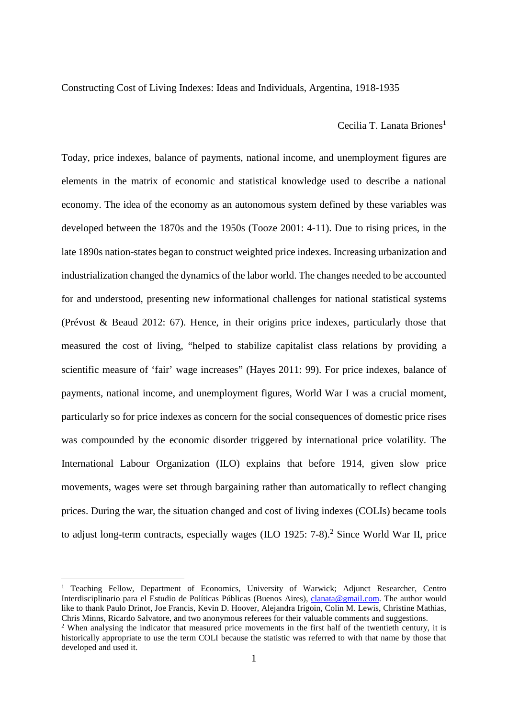Constructing Cost of Living Indexes: Ideas and Individuals, Argentina, 1918-1935

Cecilia T. Lanata Briones<sup>1</sup>

Today, price indexes, balance of payments, national income, and unemployment figures are elements in the matrix of economic and statistical knowledge used to describe a national economy. The idea of the economy as an autonomous system defined by these variables was developed between the 1870s and the 1950s (Tooze 2001: 4-11). Due to rising prices, in the late 1890s nation-states began to construct weighted price indexes. Increasing urbanization and industrialization changed the dynamics of the labor world. The changes needed to be accounted for and understood, presenting new informational challenges for national statistical systems (Prévost & Beaud 2012: 67). Hence, in their origins price indexes, particularly those that measured the cost of living, "helped to stabilize capitalist class relations by providing a scientific measure of 'fair' wage increases" (Hayes 2011: 99). For price indexes, balance of payments, national income, and unemployment figures, World War I was a crucial moment, particularly so for price indexes as concern for the social consequences of domestic price rises was compounded by the economic disorder triggered by international price volatility. The International Labour Organization (ILO) explains that before 1914, given slow price movements, wages were set through bargaining rather than automatically to reflect changing prices. During the war, the situation changed and cost of living indexes (COLIs) became tools to adjust long-term contracts, especially wages (ILO 1925: 7-8).<sup>2</sup> Since World War II, price

 $\overline{a}$ 

<sup>&</sup>lt;sup>1</sup> Teaching Fellow, Department of Economics, University of Warwick; Adjunct Researcher, Centro Interdisciplinario para el Estudio de Políticas Públicas (Buenos Aires), [clanata@gmail.com.](mailto:clanata@gmail.com) The author would like to thank Paulo Drinot, Joe Francis, Kevin D. Hoover, Alejandra Irigoin, Colin M. Lewis, Christine Mathias, Chris Minns, Ricardo Salvatore, and two anonymous referees for their valuable comments and suggestions.

<sup>&</sup>lt;sup>2</sup> When analysing the indicator that measured price movements in the first half of the twentieth century, it is historically appropriate to use the term COLI because the statistic was referred to with that name by those that developed and used it.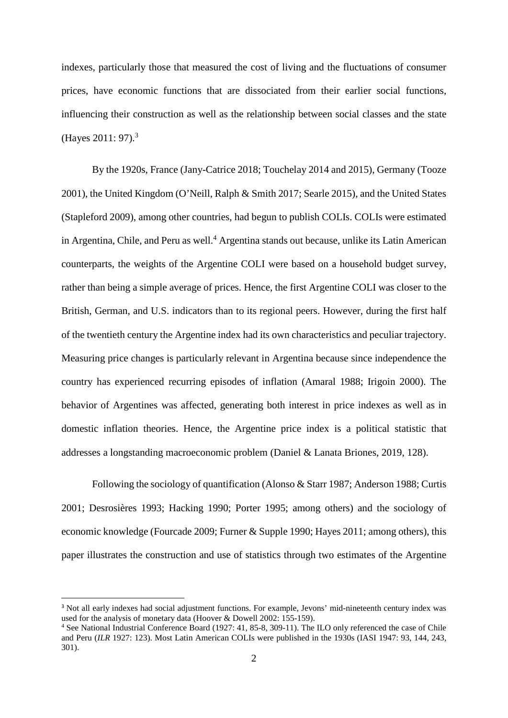indexes, particularly those that measured the cost of living and the fluctuations of consumer prices, have economic functions that are dissociated from their earlier social functions, influencing their construction as well as the relationship between social classes and the state (Hayes 2011: 97).<sup>3</sup>

By the 1920s, France (Jany-Catrice 2018; Touchelay 2014 and 2015), Germany (Tooze 2001), the United Kingdom (O'Neill, Ralph & Smith 2017; Searle 2015), and the United States (Stapleford 2009), among other countries, had begun to publish COLIs. COLIs were estimated in Argentina, Chile, and Peru as well.<sup>4</sup> Argentina stands out because, unlike its Latin American counterparts, the weights of the Argentine COLI were based on a household budget survey, rather than being a simple average of prices. Hence, the first Argentine COLI was closer to the British, German, and U.S. indicators than to its regional peers. However, during the first half of the twentieth century the Argentine index had its own characteristics and peculiar trajectory. Measuring price changes is particularly relevant in Argentina because since independence the country has experienced recurring episodes of inflation (Amaral 1988; Irigoin 2000). The behavior of Argentines was affected, generating both interest in price indexes as well as in domestic inflation theories. Hence, the Argentine price index is a political statistic that addresses a longstanding macroeconomic problem (Daniel & Lanata Briones, 2019, 128).

Following the sociology of quantification (Alonso & Starr 1987; Anderson 1988; Curtis 2001; Desrosières 1993; Hacking 1990; Porter 1995; among others) and the sociology of economic knowledge (Fourcade 2009; Furner & Supple 1990; Hayes 2011; among others), this paper illustrates the construction and use of statistics through two estimates of the Argentine

<sup>3</sup> Not all early indexes had social adjustment functions. For example, Jevons' mid-nineteenth century index was used for the analysis of monetary data (Hoover & Dowell 2002: 155-159).

<sup>4</sup> See National Industrial Conference Board (1927: 41, 85-8, 309-11). The ILO only referenced the case of Chile and Peru (*ILR* 1927: 123). Most Latin American COLIs were published in the 1930s (IASI 1947: 93, 144, 243, 301).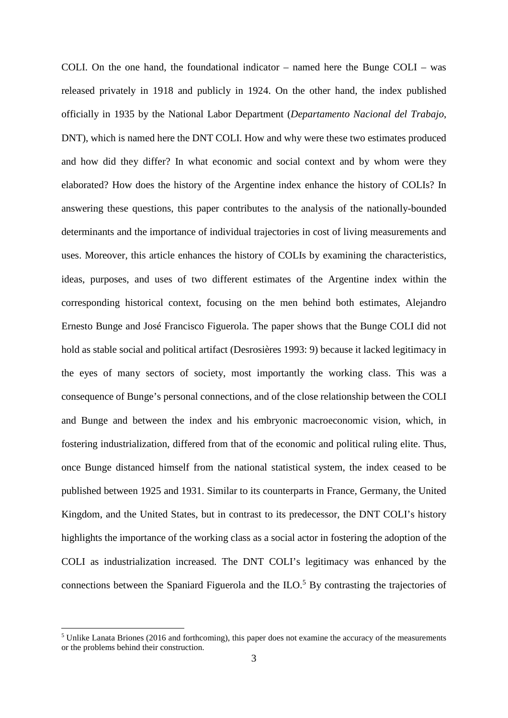COLI. On the one hand, the foundational indicator – named here the Bunge COLI – was released privately in 1918 and publicly in 1924. On the other hand, the index published officially in 1935 by the National Labor Department (*Departamento Nacional del Trabajo*, DNT), which is named here the DNT COLI. How and why were these two estimates produced and how did they differ? In what economic and social context and by whom were they elaborated? How does the history of the Argentine index enhance the history of COLIs? In answering these questions, this paper contributes to the analysis of the nationally-bounded determinants and the importance of individual trajectories in cost of living measurements and uses. Moreover, this article enhances the history of COLIs by examining the characteristics, ideas, purposes, and uses of two different estimates of the Argentine index within the corresponding historical context, focusing on the men behind both estimates, Alejandro Ernesto Bunge and José Francisco Figuerola. The paper shows that the Bunge COLI did not hold as stable social and political artifact (Desrosières 1993: 9) because it lacked legitimacy in the eyes of many sectors of society, most importantly the working class. This was a consequence of Bunge's personal connections, and of the close relationship between the COLI and Bunge and between the index and his embryonic macroeconomic vision, which, in fostering industrialization, differed from that of the economic and political ruling elite. Thus, once Bunge distanced himself from the national statistical system, the index ceased to be published between 1925 and 1931. Similar to its counterparts in France, Germany, the United Kingdom, and the United States, but in contrast to its predecessor, the DNT COLI's history highlights the importance of the working class as a social actor in fostering the adoption of the COLI as industrialization increased. The DNT COLI's legitimacy was enhanced by the connections between the Spaniard Figuerola and the  $ILO$ <sup>5</sup> By contrasting the trajectories of

<sup>&</sup>lt;sup>5</sup> Unlike Lanata Briones (2016 and forthcoming), this paper does not examine the accuracy of the measurements or the problems behind their construction.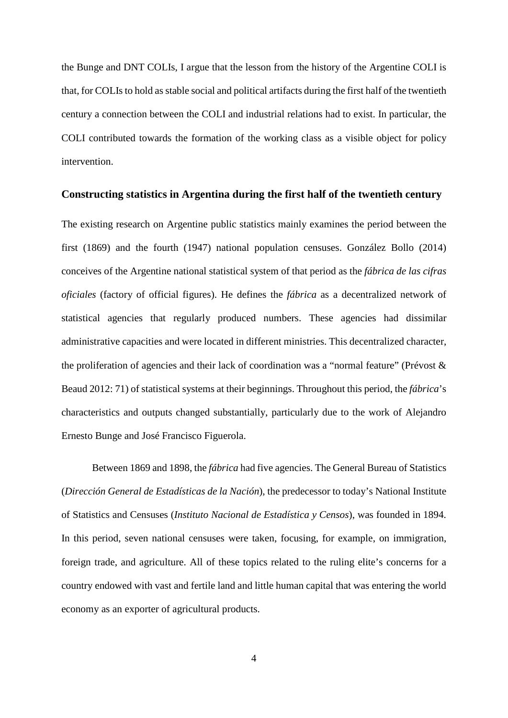the Bunge and DNT COLIs, I argue that the lesson from the history of the Argentine COLI is that, for COLIs to hold as stable social and political artifacts during the first half of the twentieth century a connection between the COLI and industrial relations had to exist. In particular, the COLI contributed towards the formation of the working class as a visible object for policy intervention.

## **Constructing statistics in Argentina during the first half of the twentieth century**

The existing research on Argentine public statistics mainly examines the period between the first (1869) and the fourth (1947) national population censuses. González Bollo (2014) conceives of the Argentine national statistical system of that period as the *fábrica de las cifras oficiales* (factory of official figures). He defines the *fábrica* as a decentralized network of statistical agencies that regularly produced numbers. These agencies had dissimilar administrative capacities and were located in different ministries. This decentralized character, the proliferation of agencies and their lack of coordination was a "normal feature" (Prévost & Beaud 2012: 71) of statistical systems at their beginnings. Throughout this period, the *fábrica*'s characteristics and outputs changed substantially, particularly due to the work of Alejandro Ernesto Bunge and José Francisco Figuerola.

Between 1869 and 1898, the *fábrica* had five agencies. The General Bureau of Statistics (*Dirección General de Estadísticas de la Nación*), the predecessor to today's National Institute of Statistics and Censuses (*Instituto Nacional de Estadística y Censos*), was founded in 1894. In this period, seven national censuses were taken, focusing, for example, on immigration, foreign trade, and agriculture. All of these topics related to the ruling elite's concerns for a country endowed with vast and fertile land and little human capital that was entering the world economy as an exporter of agricultural products.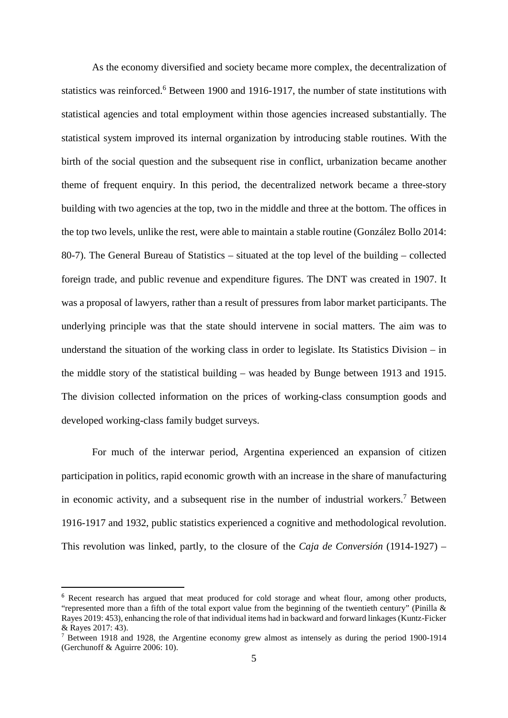As the economy diversified and society became more complex, the decentralization of statistics was reinforced.<sup>6</sup> Between 1900 and 1916-1917, the number of state institutions with statistical agencies and total employment within those agencies increased substantially. The statistical system improved its internal organization by introducing stable routines. With the birth of the social question and the subsequent rise in conflict, urbanization became another theme of frequent enquiry. In this period, the decentralized network became a three-story building with two agencies at the top, two in the middle and three at the bottom. The offices in the top two levels, unlike the rest, were able to maintain a stable routine (González Bollo 2014: 80-7). The General Bureau of Statistics – situated at the top level of the building – collected foreign trade, and public revenue and expenditure figures. The DNT was created in 1907. It was a proposal of lawyers, rather than a result of pressures from labor market participants. The underlying principle was that the state should intervene in social matters. The aim was to understand the situation of the working class in order to legislate. Its Statistics Division – in the middle story of the statistical building – was headed by Bunge between 1913 and 1915. The division collected information on the prices of working-class consumption goods and developed working-class family budget surveys.

For much of the interwar period, Argentina experienced an expansion of citizen participation in politics, rapid economic growth with an increase in the share of manufacturing in economic activity, and a subsequent rise in the number of industrial workers.<sup>7</sup> Between 1916-1917 and 1932, public statistics experienced a cognitive and methodological revolution. This revolution was linked, partly, to the closure of the *Caja de Conversión* (1914-1927) –

<sup>6</sup> Recent research has argued that meat produced for cold storage and wheat flour, among other products, "represented more than a fifth of the total export value from the beginning of the twentieth century" (Pinilla  $\&$ Rayes 2019: 453), enhancing the role of that individual items had in backward and forward linkages (Kuntz-Ficker & Rayes 2017: 43).

<sup>&</sup>lt;sup>7</sup> Between 1918 and 1928, the Argentine economy grew almost as intensely as during the period 1900-1914 (Gerchunoff & Aguirre 2006: 10).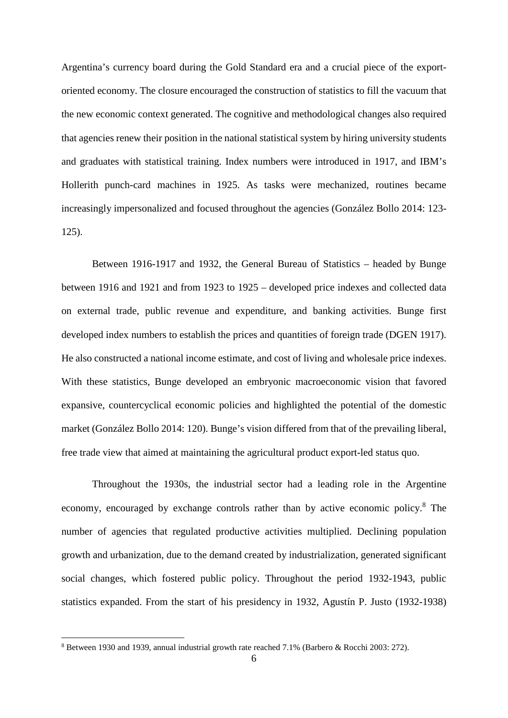Argentina's currency board during the Gold Standard era and a crucial piece of the exportoriented economy. The closure encouraged the construction of statistics to fill the vacuum that the new economic context generated. The cognitive and methodological changes also required that agencies renew their position in the national statistical system by hiring university students and graduates with statistical training. Index numbers were introduced in 1917, and IBM's Hollerith punch-card machines in 1925. As tasks were mechanized, routines became increasingly impersonalized and focused throughout the agencies (González Bollo 2014: 123- 125).

Between 1916-1917 and 1932, the General Bureau of Statistics – headed by Bunge between 1916 and 1921 and from 1923 to 1925 – developed price indexes and collected data on external trade, public revenue and expenditure, and banking activities. Bunge first developed index numbers to establish the prices and quantities of foreign trade (DGEN 1917). He also constructed a national income estimate, and cost of living and wholesale price indexes. With these statistics, Bunge developed an embryonic macroeconomic vision that favored expansive, countercyclical economic policies and highlighted the potential of the domestic market (González Bollo 2014: 120). Bunge's vision differed from that of the prevailing liberal, free trade view that aimed at maintaining the agricultural product export-led status quo.

Throughout the 1930s, the industrial sector had a leading role in the Argentine economy, encouraged by exchange controls rather than by active economic policy.<sup>8</sup> The number of agencies that regulated productive activities multiplied. Declining population growth and urbanization, due to the demand created by industrialization, generated significant social changes, which fostered public policy. Throughout the period 1932-1943, public statistics expanded. From the start of his presidency in 1932, Agustín P. Justo (1932-1938)

 $\overline{\phantom{a}}$ 

<sup>&</sup>lt;sup>8</sup> Between 1930 and 1939, annual industrial growth rate reached 7.1% (Barbero & Rocchi 2003: 272).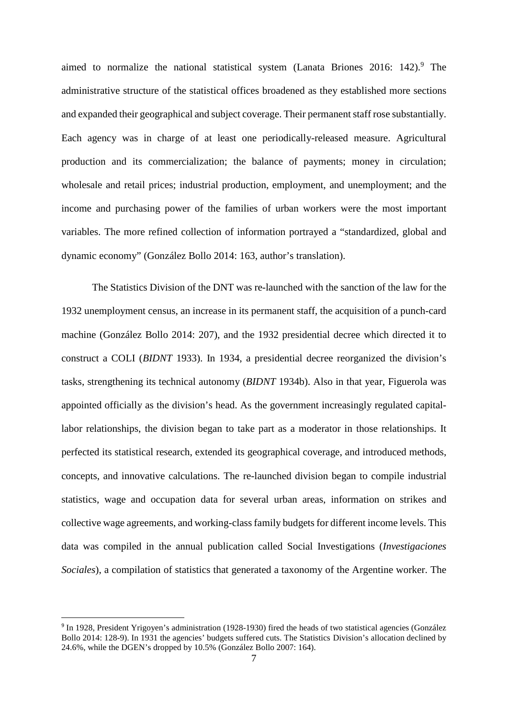aimed to normalize the national statistical system (Lanata Briones  $2016$ :  $142$ ).<sup>9</sup> The administrative structure of the statistical offices broadened as they established more sections and expanded their geographical and subject coverage. Their permanent staff rose substantially. Each agency was in charge of at least one periodically-released measure. Agricultural production and its commercialization; the balance of payments; money in circulation; wholesale and retail prices; industrial production, employment, and unemployment; and the income and purchasing power of the families of urban workers were the most important variables. The more refined collection of information portrayed a "standardized, global and dynamic economy" (González Bollo 2014: 163, author's translation).

The Statistics Division of the DNT was re-launched with the sanction of the law for the 1932 unemployment census, an increase in its permanent staff, the acquisition of a punch-card machine (González Bollo 2014: 207), and the 1932 presidential decree which directed it to construct a COLI (*BIDNT* 1933). In 1934, a presidential decree reorganized the division's tasks, strengthening its technical autonomy (*BIDNT* 1934b). Also in that year, Figuerola was appointed officially as the division's head. As the government increasingly regulated capitallabor relationships, the division began to take part as a moderator in those relationships. It perfected its statistical research, extended its geographical coverage, and introduced methods, concepts, and innovative calculations. The re-launched division began to compile industrial statistics, wage and occupation data for several urban areas, information on strikes and collective wage agreements, and working-class family budgets for different income levels. This data was compiled in the annual publication called Social Investigations (*Investigaciones Sociales*), a compilation of statistics that generated a taxonomy of the Argentine worker. The

 $\overline{\phantom{a}}$ 

<sup>&</sup>lt;sup>9</sup> In 1928, President Yrigoyen's administration (1928-1930) fired the heads of two statistical agencies (González Bollo 2014: 128-9). In 1931 the agencies' budgets suffered cuts. The Statistics Division's allocation declined by 24.6%, while the DGEN's dropped by 10.5% (González Bollo 2007: 164).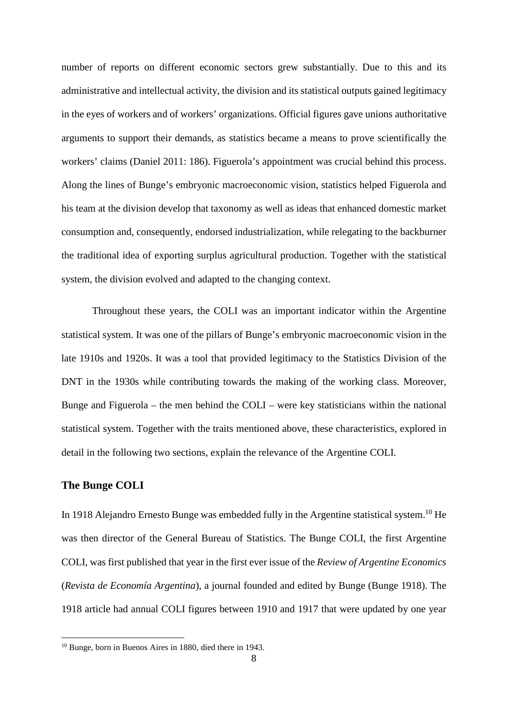number of reports on different economic sectors grew substantially. Due to this and its administrative and intellectual activity, the division and its statistical outputs gained legitimacy in the eyes of workers and of workers' organizations. Official figures gave unions authoritative arguments to support their demands, as statistics became a means to prove scientifically the workers' claims (Daniel 2011: 186). Figuerola's appointment was crucial behind this process. Along the lines of Bunge's embryonic macroeconomic vision, statistics helped Figuerola and his team at the division develop that taxonomy as well as ideas that enhanced domestic market consumption and, consequently, endorsed industrialization, while relegating to the backburner the traditional idea of exporting surplus agricultural production. Together with the statistical system, the division evolved and adapted to the changing context.

Throughout these years, the COLI was an important indicator within the Argentine statistical system. It was one of the pillars of Bunge's embryonic macroeconomic vision in the late 1910s and 1920s. It was a tool that provided legitimacy to the Statistics Division of the DNT in the 1930s while contributing towards the making of the working class. Moreover, Bunge and Figuerola – the men behind the COLI – were key statisticians within the national statistical system. Together with the traits mentioned above, these characteristics, explored in detail in the following two sections, explain the relevance of the Argentine COLI.

## **The Bunge COLI**

 $\overline{\phantom{a}}$ 

In 1918 Alejandro Ernesto Bunge was embedded fully in the Argentine statistical system.<sup>10</sup> He was then director of the General Bureau of Statistics. The Bunge COLI, the first Argentine COLI, was first published that year in the first ever issue of the *Review of Argentine Economics* (*Revista de Economía Argentina*), a journal founded and edited by Bunge (Bunge 1918). The 1918 article had annual COLI figures between 1910 and 1917 that were updated by one year

<sup>10</sup> Bunge, born in Buenos Aires in 1880, died there in 1943.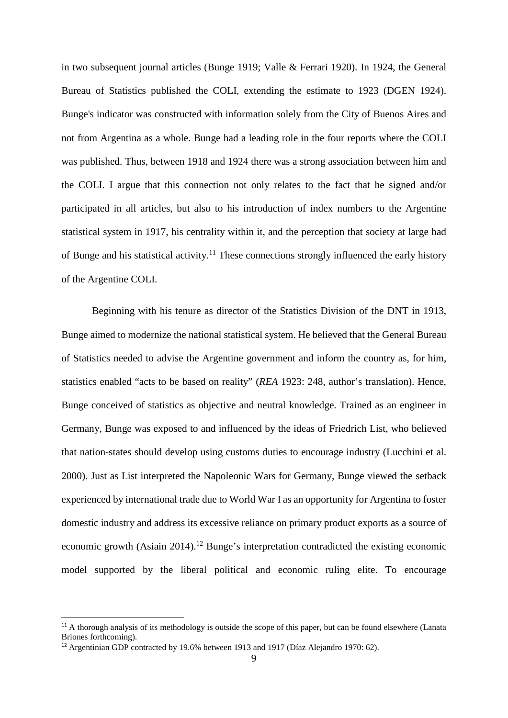in two subsequent journal articles (Bunge 1919; Valle & Ferrari 1920). In 1924, the General Bureau of Statistics published the COLI, extending the estimate to 1923 (DGEN 1924). Bunge's indicator was constructed with information solely from the City of Buenos Aires and not from Argentina as a whole. Bunge had a leading role in the four reports where the COLI was published. Thus, between 1918 and 1924 there was a strong association between him and the COLI. I argue that this connection not only relates to the fact that he signed and/or participated in all articles, but also to his introduction of index numbers to the Argentine statistical system in 1917, his centrality within it, and the perception that society at large had of Bunge and his statistical activity.<sup>11</sup> These connections strongly influenced the early history of the Argentine COLI.

Beginning with his tenure as director of the Statistics Division of the DNT in 1913, Bunge aimed to modernize the national statistical system. He believed that the General Bureau of Statistics needed to advise the Argentine government and inform the country as, for him, statistics enabled "acts to be based on reality" (*REA* 1923: 248, author's translation). Hence, Bunge conceived of statistics as objective and neutral knowledge. Trained as an engineer in Germany, Bunge was exposed to and influenced by the ideas of Friedrich List, who believed that nation-states should develop using customs duties to encourage industry (Lucchini et al. 2000). Just as List interpreted the Napoleonic Wars for Germany, Bunge viewed the setback experienced by international trade due to World War I as an opportunity for Argentina to foster domestic industry and address its excessive reliance on primary product exports as a source of economic growth (Asiain 2014).<sup>12</sup> Bunge's interpretation contradicted the existing economic model supported by the liberal political and economic ruling elite. To encourage

-

<sup>&</sup>lt;sup>11</sup> A thorough analysis of its methodology is outside the scope of this paper, but can be found elsewhere (Lanata Briones forthcoming).

<sup>&</sup>lt;sup>12</sup> Argentinian GDP contracted by 19.6% between 1913 and 1917 (Díaz Alejandro 1970: 62).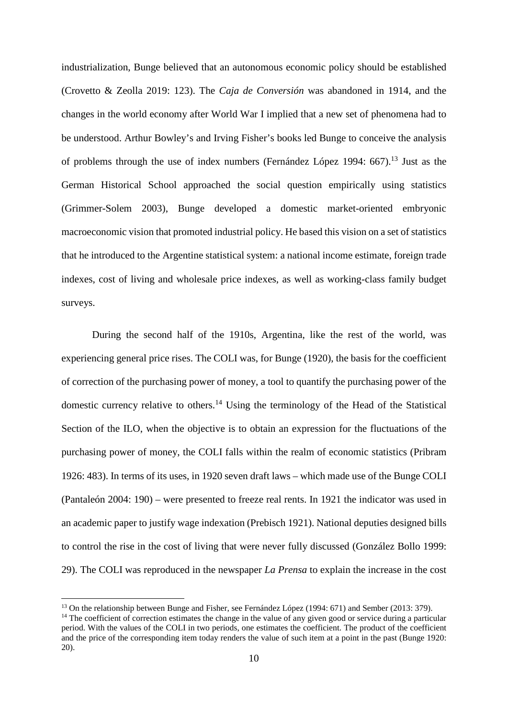industrialization, Bunge believed that an autonomous economic policy should be established (Crovetto & Zeolla 2019: 123). The *Caja de Conversión* was abandoned in 1914, and the changes in the world economy after World War I implied that a new set of phenomena had to be understood. Arthur Bowley's and Irving Fisher's books led Bunge to conceive the analysis of problems through the use of index numbers (Fernández López 1994: 667).<sup>13</sup> Just as the German Historical School approached the social question empirically using statistics (Grimmer-Solem 2003), Bunge developed a domestic market-oriented embryonic macroeconomic vision that promoted industrial policy. He based this vision on a set of statistics that he introduced to the Argentine statistical system: a national income estimate, foreign trade indexes, cost of living and wholesale price indexes, as well as working-class family budget surveys.

During the second half of the 1910s, Argentina, like the rest of the world, was experiencing general price rises. The COLI was, for Bunge (1920), the basis for the coefficient of correction of the purchasing power of money, a tool to quantify the purchasing power of the domestic currency relative to others.<sup>14</sup> Using the terminology of the Head of the Statistical Section of the ILO, when the objective is to obtain an expression for the fluctuations of the purchasing power of money, the COLI falls within the realm of economic statistics (Pribram 1926: 483). In terms of its uses, in 1920 seven draft laws – which made use of the Bunge COLI (Pantaleón 2004: 190) – were presented to freeze real rents. In 1921 the indicator was used in an academic paper to justify wage indexation (Prebisch 1921). National deputies designed bills to control the rise in the cost of living that were never fully discussed (González Bollo 1999: 29). The COLI was reproduced in the newspaper *La Prensa* to explain the increase in the cost

<sup>&</sup>lt;sup>13</sup> On the relationship between Bunge and Fisher, see Fernández López (1994: 671) and Sember (2013: 379).

<sup>&</sup>lt;sup>14</sup> The coefficient of correction estimates the change in the value of any given good or service during a particular period. With the values of the COLI in two periods, one estimates the coefficient. The product of the coefficient and the price of the corresponding item today renders the value of such item at a point in the past (Bunge 1920: 20).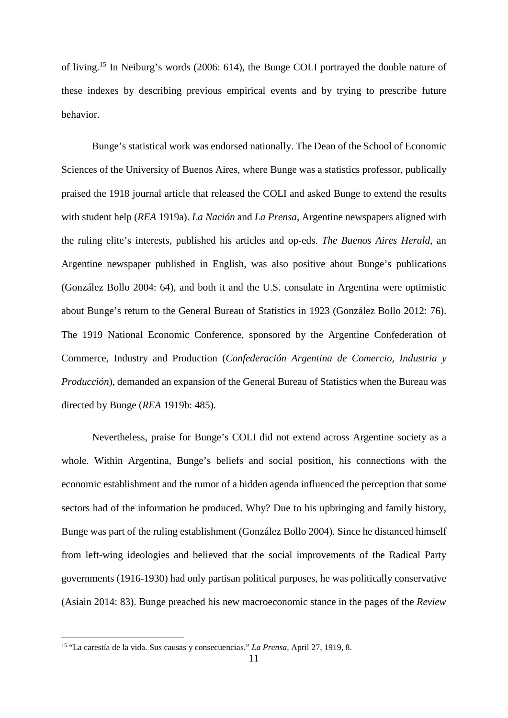of living.<sup>15</sup> In Neiburg's words (2006: 614), the Bunge COLI portrayed the double nature of these indexes by describing previous empirical events and by trying to prescribe future behavior.

Bunge's statistical work was endorsed nationally. The Dean of the School of Economic Sciences of the University of Buenos Aires, where Bunge was a statistics professor, publically praised the 1918 journal article that released the COLI and asked Bunge to extend the results with student help (*REA* 1919a). *La Nación* and *La Prensa*, Argentine newspapers aligned with the ruling elite's interests, published his articles and op-eds. *The Buenos Aires Herald*, an Argentine newspaper published in English, was also positive about Bunge's publications (González Bollo 2004: 64), and both it and the U.S. consulate in Argentina were optimistic about Bunge's return to the General Bureau of Statistics in 1923 (González Bollo 2012: 76). The 1919 National Economic Conference, sponsored by the Argentine Confederation of Commerce, Industry and Production (*Confederación Argentina de Comercio, Industria y Producción*), demanded an expansion of the General Bureau of Statistics when the Bureau was directed by Bunge (*REA* 1919b: 485).

Nevertheless, praise for Bunge's COLI did not extend across Argentine society as a whole. Within Argentina, Bunge's beliefs and social position, his connections with the economic establishment and the rumor of a hidden agenda influenced the perception that some sectors had of the information he produced. Why? Due to his upbringing and family history, Bunge was part of the ruling establishment (González Bollo 2004). Since he distanced himself from left-wing ideologies and believed that the social improvements of the Radical Party governments (1916-1930) had only partisan political purposes, he was politically conservative (Asiain 2014: 83). Bunge preached his new macroeconomic stance in the pages of the *Review* 

 $\overline{\phantom{a}}$ 

<sup>15</sup> "La carestía de la vida. Sus causas y consecuencias." *La Prensa*, April 27, 1919, 8.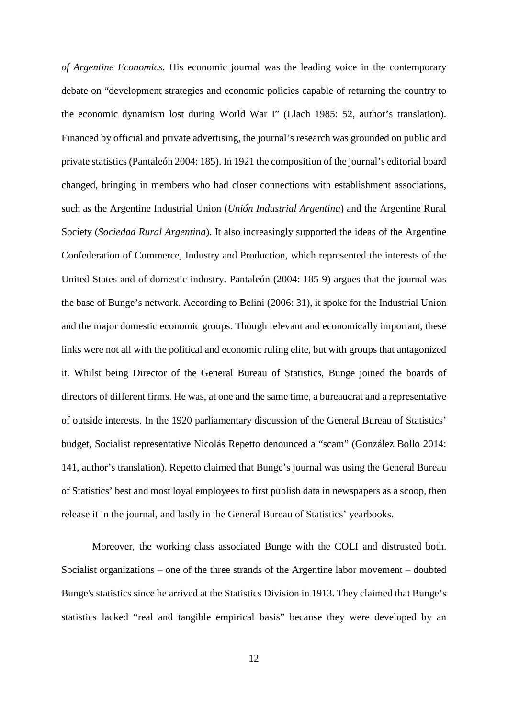*of Argentine Economics*. His economic journal was the leading voice in the contemporary debate on "development strategies and economic policies capable of returning the country to the economic dynamism lost during World War I" (Llach 1985: 52, author's translation). Financed by official and private advertising, the journal's research was grounded on public and private statistics (Pantaleón 2004: 185). In 1921 the composition of the journal's editorial board changed, bringing in members who had closer connections with establishment associations, such as the Argentine Industrial Union (*Unión Industrial Argentina*) and the Argentine Rural Society (*Sociedad Rural Argentina*). It also increasingly supported the ideas of the Argentine Confederation of Commerce, Industry and Production, which represented the interests of the United States and of domestic industry. Pantaleón (2004: 185-9) argues that the journal was the base of Bunge's network. According to Belini (2006: 31), it spoke for the Industrial Union and the major domestic economic groups. Though relevant and economically important, these links were not all with the political and economic ruling elite, but with groups that antagonized it. Whilst being Director of the General Bureau of Statistics, Bunge joined the boards of directors of different firms. He was, at one and the same time, a bureaucrat and a representative of outside interests. In the 1920 parliamentary discussion of the General Bureau of Statistics' budget, Socialist representative Nicolás Repetto denounced a "scam" (González Bollo 2014: 141, author's translation). Repetto claimed that Bunge's journal was using the General Bureau of Statistics' best and most loyal employees to first publish data in newspapers as a scoop, then release it in the journal, and lastly in the General Bureau of Statistics' yearbooks.

Moreover, the working class associated Bunge with the COLI and distrusted both. Socialist organizations – one of the three strands of the Argentine labor movement – doubted Bunge's statistics since he arrived at the Statistics Division in 1913. They claimed that Bunge's statistics lacked "real and tangible empirical basis" because they were developed by an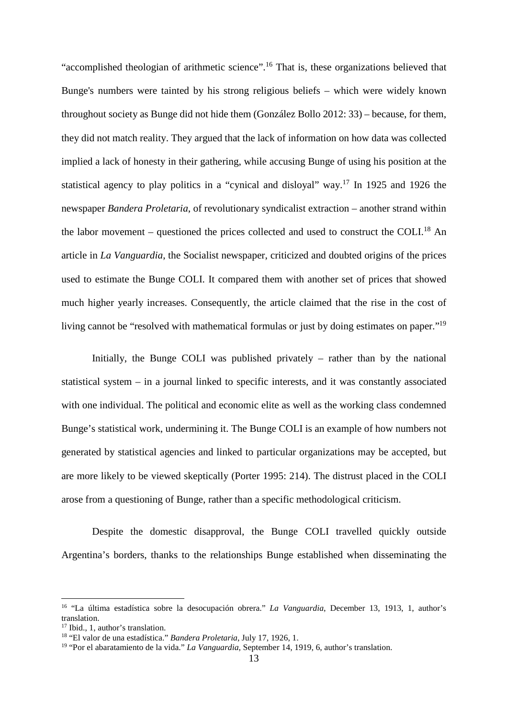"accomplished theologian of arithmetic science".<sup>16</sup> That is, these organizations believed that Bunge's numbers were tainted by his strong religious beliefs – which were widely known throughout society as Bunge did not hide them (González Bollo 2012: 33) – because, for them, they did not match reality. They argued that the lack of information on how data was collected implied a lack of honesty in their gathering, while accusing Bunge of using his position at the statistical agency to play politics in a "cynical and disloyal" way.<sup>17</sup> In 1925 and 1926 the newspaper *Bandera Proletaria*, of revolutionary syndicalist extraction – another strand within the labor movement – questioned the prices collected and used to construct the COLI.<sup>18</sup> An article in *La Vanguardia*, the Socialist newspaper, criticized and doubted origins of the prices used to estimate the Bunge COLI. It compared them with another set of prices that showed much higher yearly increases. Consequently, the article claimed that the rise in the cost of living cannot be "resolved with mathematical formulas or just by doing estimates on paper."<sup>19</sup>

Initially, the Bunge COLI was published privately – rather than by the national statistical system – in a journal linked to specific interests, and it was constantly associated with one individual. The political and economic elite as well as the working class condemned Bunge's statistical work, undermining it. The Bunge COLI is an example of how numbers not generated by statistical agencies and linked to particular organizations may be accepted, but are more likely to be viewed skeptically (Porter 1995: 214). The distrust placed in the COLI arose from a questioning of Bunge, rather than a specific methodological criticism.

Despite the domestic disapproval, the Bunge COLI travelled quickly outside Argentina's borders, thanks to the relationships Bunge established when disseminating the

<sup>16</sup> "La última estadística sobre la desocupación obrera." *La Vanguardia*, December 13, 1913, 1, author's translation.

<sup>&</sup>lt;sup>17</sup> Ibid., 1, author's translation.

<sup>18</sup> "El valor de una estadística." *Bandera Proletaria*, July 17, 1926, 1.

<sup>19</sup> "Por el abaratamiento de la vida." *La Vanguardia*, September 14, 1919, 6, author's translation.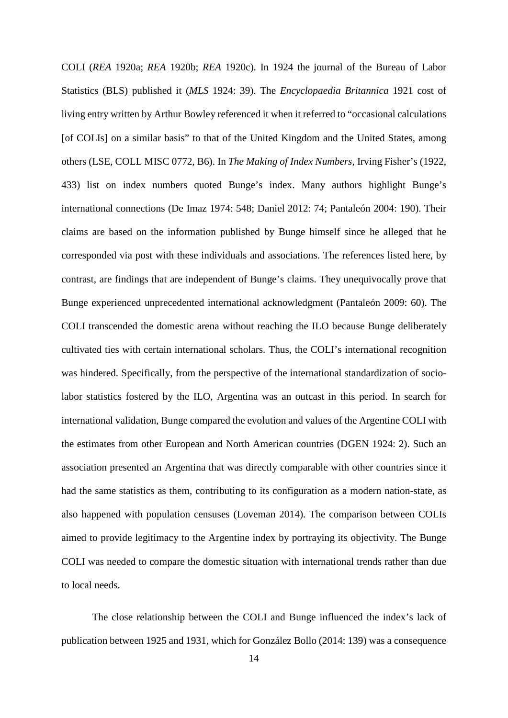COLI (*REA* 1920a; *REA* 1920b; *REA* 1920c). In 1924 the journal of the Bureau of Labor Statistics (BLS) published it (*MLS* 1924: 39). The *Encyclopaedia Britannica* 1921 cost of living entry written by Arthur Bowley referenced it when it referred to "occasional calculations [of COLIs] on a similar basis" to that of the United Kingdom and the United States, among others (LSE, COLL MISC 0772, B6). In *The Making of Index Numbers*, Irving Fisher's (1922, 433) list on index numbers quoted Bunge's index. Many authors highlight Bunge's international connections (De Imaz 1974: 548; Daniel 2012: 74; Pantaleón 2004: 190). Their claims are based on the information published by Bunge himself since he alleged that he corresponded via post with these individuals and associations. The references listed here, by contrast, are findings that are independent of Bunge's claims. They unequivocally prove that Bunge experienced unprecedented international acknowledgment (Pantaleón 2009: 60). The COLI transcended the domestic arena without reaching the ILO because Bunge deliberately cultivated ties with certain international scholars. Thus, the COLI's international recognition was hindered. Specifically, from the perspective of the international standardization of sociolabor statistics fostered by the ILO, Argentina was an outcast in this period. In search for international validation, Bunge compared the evolution and values of the Argentine COLI with the estimates from other European and North American countries (DGEN 1924: 2). Such an association presented an Argentina that was directly comparable with other countries since it had the same statistics as them, contributing to its configuration as a modern nation-state, as also happened with population censuses (Loveman 2014). The comparison between COLIs aimed to provide legitimacy to the Argentine index by portraying its objectivity. The Bunge COLI was needed to compare the domestic situation with international trends rather than due to local needs.

The close relationship between the COLI and Bunge influenced the index's lack of publication between 1925 and 1931, which for González Bollo (2014: 139) was a consequence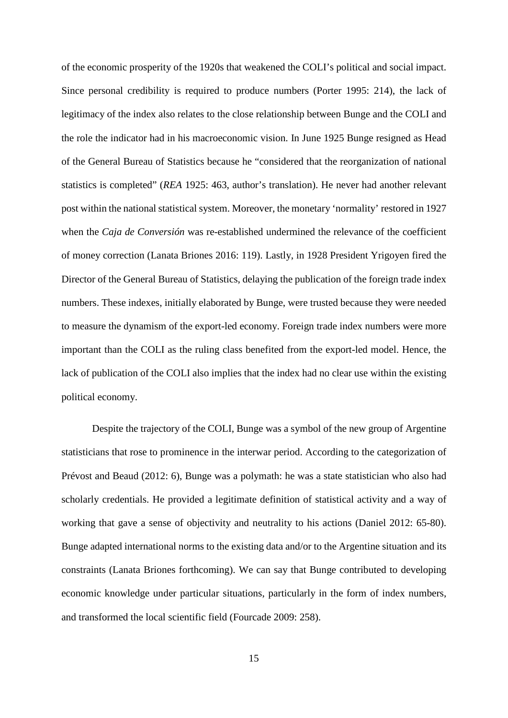of the economic prosperity of the 1920s that weakened the COLI's political and social impact. Since personal credibility is required to produce numbers (Porter 1995: 214), the lack of legitimacy of the index also relates to the close relationship between Bunge and the COLI and the role the indicator had in his macroeconomic vision. In June 1925 Bunge resigned as Head of the General Bureau of Statistics because he "considered that the reorganization of national statistics is completed" (*REA* 1925: 463, author's translation). He never had another relevant post within the national statistical system. Moreover, the monetary 'normality' restored in 1927 when the *Caja de Conversión* was re-established undermined the relevance of the coefficient of money correction (Lanata Briones 2016: 119). Lastly, in 1928 President Yrigoyen fired the Director of the General Bureau of Statistics, delaying the publication of the foreign trade index numbers. These indexes, initially elaborated by Bunge, were trusted because they were needed to measure the dynamism of the export-led economy. Foreign trade index numbers were more important than the COLI as the ruling class benefited from the export-led model. Hence, the lack of publication of the COLI also implies that the index had no clear use within the existing political economy.

Despite the trajectory of the COLI, Bunge was a symbol of the new group of Argentine statisticians that rose to prominence in the interwar period. According to the categorization of Prévost and Beaud (2012: 6), Bunge was a polymath: he was a state statistician who also had scholarly credentials. He provided a legitimate definition of statistical activity and a way of working that gave a sense of objectivity and neutrality to his actions (Daniel 2012: 65-80). Bunge adapted international norms to the existing data and/or to the Argentine situation and its constraints (Lanata Briones forthcoming). We can say that Bunge contributed to developing economic knowledge under particular situations, particularly in the form of index numbers, and transformed the local scientific field (Fourcade 2009: 258).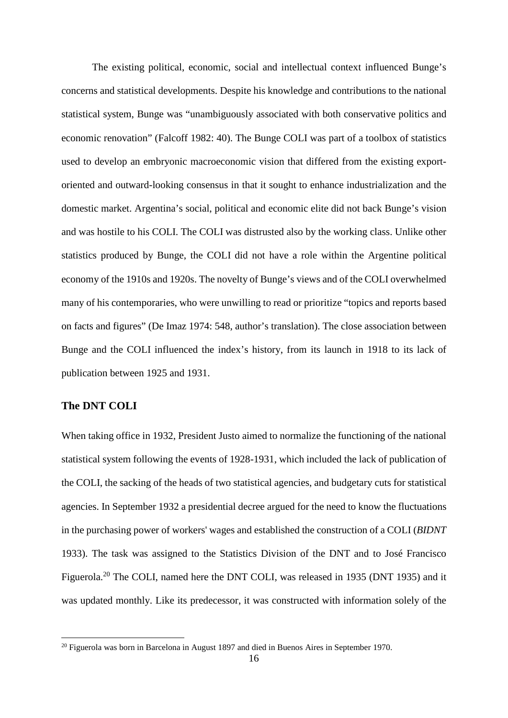The existing political, economic, social and intellectual context influenced Bunge's concerns and statistical developments. Despite his knowledge and contributions to the national statistical system, Bunge was "unambiguously associated with both conservative politics and economic renovation" (Falcoff 1982: 40). The Bunge COLI was part of a toolbox of statistics used to develop an embryonic macroeconomic vision that differed from the existing exportoriented and outward-looking consensus in that it sought to enhance industrialization and the domestic market. Argentina's social, political and economic elite did not back Bunge's vision and was hostile to his COLI. The COLI was distrusted also by the working class. Unlike other statistics produced by Bunge, the COLI did not have a role within the Argentine political economy of the 1910s and 1920s. The novelty of Bunge's views and of the COLI overwhelmed many of his contemporaries, who were unwilling to read or prioritize "topics and reports based on facts and figures" (De Imaz 1974: 548, author's translation). The close association between Bunge and the COLI influenced the index's history, from its launch in 1918 to its lack of publication between 1925 and 1931.

# **The DNT COLI**

 $\overline{\phantom{a}}$ 

When taking office in 1932, President Justo aimed to normalize the functioning of the national statistical system following the events of 1928-1931, which included the lack of publication of the COLI, the sacking of the heads of two statistical agencies, and budgetary cuts for statistical agencies. In September 1932 a presidential decree argued for the need to know the fluctuations in the purchasing power of workers' wages and established the construction of a COLI (*BIDNT* 1933). The task was assigned to the Statistics Division of the DNT and to José Francisco Figuerola.<sup>20</sup> The COLI, named here the DNT COLI, was released in 1935 (DNT 1935) and it was updated monthly. Like its predecessor, it was constructed with information solely of the

 $20$  Figuerola was born in Barcelona in August 1897 and died in Buenos Aires in September 1970.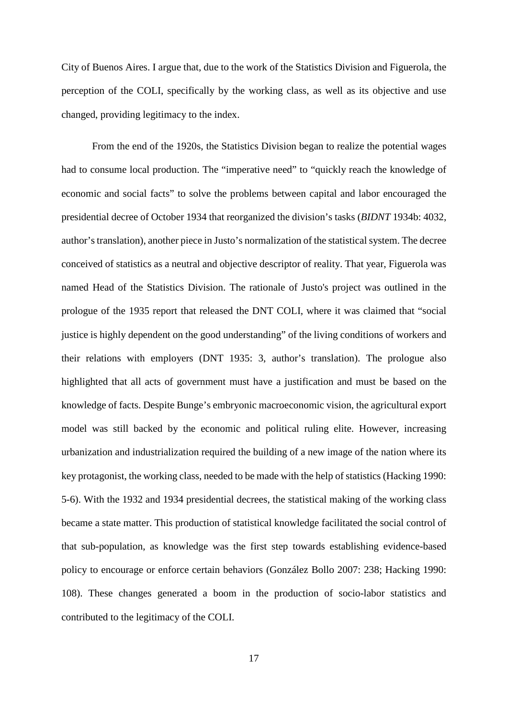City of Buenos Aires. I argue that, due to the work of the Statistics Division and Figuerola, the perception of the COLI, specifically by the working class, as well as its objective and use changed, providing legitimacy to the index.

From the end of the 1920s, the Statistics Division began to realize the potential wages had to consume local production. The "imperative need" to "quickly reach the knowledge of economic and social facts" to solve the problems between capital and labor encouraged the presidential decree of October 1934 that reorganized the division's tasks (*BIDNT* 1934b: 4032, author's translation), another piece in Justo's normalization of the statistical system. The decree conceived of statistics as a neutral and objective descriptor of reality. That year, Figuerola was named Head of the Statistics Division. The rationale of Justo's project was outlined in the prologue of the 1935 report that released the DNT COLI, where it was claimed that "social justice is highly dependent on the good understanding" of the living conditions of workers and their relations with employers (DNT 1935: 3, author's translation). The prologue also highlighted that all acts of government must have a justification and must be based on the knowledge of facts. Despite Bunge's embryonic macroeconomic vision, the agricultural export model was still backed by the economic and political ruling elite. However, increasing urbanization and industrialization required the building of a new image of the nation where its key protagonist, the working class, needed to be made with the help of statistics (Hacking 1990: 5-6). With the 1932 and 1934 presidential decrees, the statistical making of the working class became a state matter. This production of statistical knowledge facilitated the social control of that sub-population, as knowledge was the first step towards establishing evidence-based policy to encourage or enforce certain behaviors (González Bollo 2007: 238; Hacking 1990: 108). These changes generated a boom in the production of socio-labor statistics and contributed to the legitimacy of the COLI.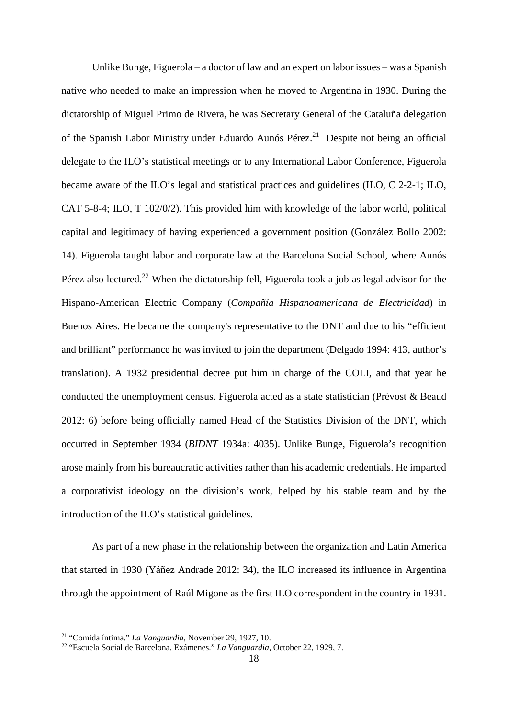Unlike Bunge, Figuerola – a doctor of law and an expert on labor issues – was a Spanish native who needed to make an impression when he moved to Argentina in 1930. During the dictatorship of Miguel Primo de Rivera, he was Secretary General of the Cataluña delegation of the Spanish Labor Ministry under Eduardo Aunós Pérez.<sup>21</sup> Despite not being an official delegate to the ILO's statistical meetings or to any International Labor Conference, Figuerola became aware of the ILO's legal and statistical practices and guidelines (ILO, C 2-2-1; ILO, CAT 5-8-4; ILO, T 102/0/2). This provided him with knowledge of the labor world, political capital and legitimacy of having experienced a government position (González Bollo 2002: 14). Figuerola taught labor and corporate law at the Barcelona Social School, where Aunós Pérez also lectured.<sup>22</sup> When the dictatorship fell, Figuerola took a job as legal advisor for the Hispano-American Electric Company (*Compañía Hispanoamericana de Electricidad*) in Buenos Aires. He became the company's representative to the DNT and due to his "efficient and brilliant" performance he was invited to join the department (Delgado 1994: 413, author's translation). A 1932 presidential decree put him in charge of the COLI, and that year he conducted the unemployment census. Figuerola acted as a state statistician (Prévost & Beaud 2012: 6) before being officially named Head of the Statistics Division of the DNT, which occurred in September 1934 (*BIDNT* 1934a: 4035). Unlike Bunge, Figuerola's recognition arose mainly from his bureaucratic activities rather than his academic credentials. He imparted a corporativist ideology on the division's work, helped by his stable team and by the introduction of the ILO's statistical guidelines.

As part of a new phase in the relationship between the organization and Latin America that started in 1930 (Yáñez Andrade 2012: 34), the ILO increased its influence in Argentina through the appointment of Raúl Migone as the first ILO correspondent in the country in 1931.

<sup>21</sup> "Comida íntima." *La Vanguardia*, November 29, 1927, 10.

<sup>22</sup> "Escuela Social de Barcelona. Exámenes." *La Vanguardia*, October 22, 1929, 7.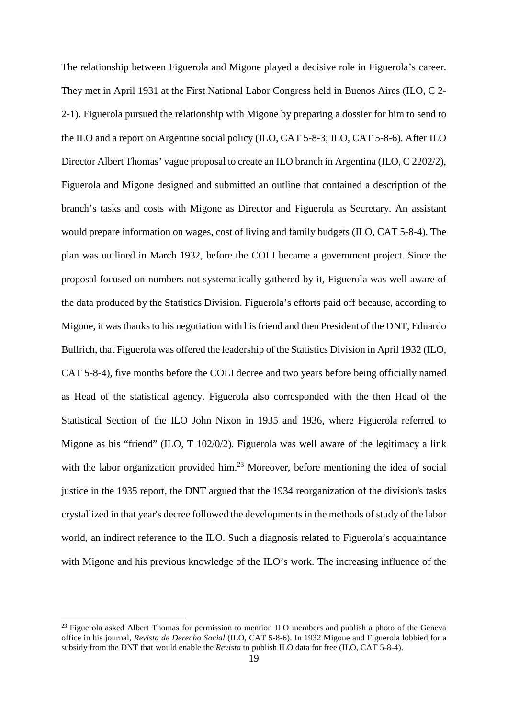The relationship between Figuerola and Migone played a decisive role in Figuerola's career. They met in April 1931 at the First National Labor Congress held in Buenos Aires (ILO, C 2- 2-1). Figuerola pursued the relationship with Migone by preparing a dossier for him to send to the ILO and a report on Argentine social policy (ILO, CAT 5-8-3; ILO, CAT 5-8-6). After ILO Director Albert Thomas' vague proposal to create an ILO branch in Argentina (ILO, C 2202/2), Figuerola and Migone designed and submitted an outline that contained a description of the branch's tasks and costs with Migone as Director and Figuerola as Secretary. An assistant would prepare information on wages, cost of living and family budgets (ILO, CAT 5-8-4). The plan was outlined in March 1932, before the COLI became a government project. Since the proposal focused on numbers not systematically gathered by it, Figuerola was well aware of the data produced by the Statistics Division. Figuerola's efforts paid off because, according to Migone, it was thanks to his negotiation with his friend and then President of the DNT, Eduardo Bullrich, that Figuerola was offered the leadership of the Statistics Division in April 1932 (ILO, CAT 5-8-4), five months before the COLI decree and two years before being officially named as Head of the statistical agency. Figuerola also corresponded with the then Head of the Statistical Section of the ILO John Nixon in 1935 and 1936, where Figuerola referred to Migone as his "friend" (ILO, T 102/0/2). Figuerola was well aware of the legitimacy a link with the labor organization provided him.<sup>23</sup> Moreover, before mentioning the idea of social justice in the 1935 report, the DNT argued that the 1934 reorganization of the division's tasks crystallized in that year's decree followed the developments in the methods of study of the labor world, an indirect reference to the ILO. Such a diagnosis related to Figuerola's acquaintance with Migone and his previous knowledge of the ILO's work. The increasing influence of the

 $^{23}$  Figuerola asked Albert Thomas for permission to mention ILO members and publish a photo of the Geneva office in his journal, *Revista de Derecho Social* (ILO, CAT 5-8-6). In 1932 Migone and Figuerola lobbied for a subsidy from the DNT that would enable the *Revista* to publish ILO data for free (ILO, CAT 5-8-4).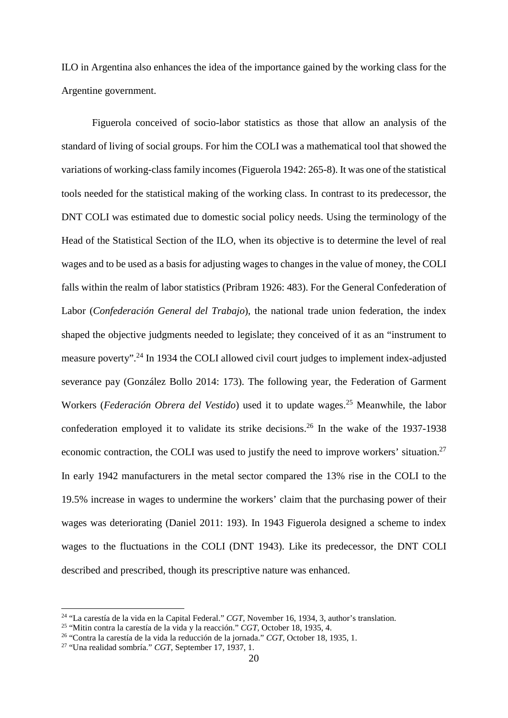ILO in Argentina also enhances the idea of the importance gained by the working class for the Argentine government.

Figuerola conceived of socio-labor statistics as those that allow an analysis of the standard of living of social groups. For him the COLI was a mathematical tool that showed the variations of working-class family incomes (Figuerola 1942: 265-8). It was one of the statistical tools needed for the statistical making of the working class. In contrast to its predecessor, the DNT COLI was estimated due to domestic social policy needs. Using the terminology of the Head of the Statistical Section of the ILO, when its objective is to determine the level of real wages and to be used as a basis for adjusting wages to changes in the value of money, the COLI falls within the realm of labor statistics (Pribram 1926: 483). For the General Confederation of Labor (*Confederación General del Trabajo*), the national trade union federation, the index shaped the objective judgments needed to legislate; they conceived of it as an "instrument to measure poverty".<sup>24</sup> In 1934 the COLI allowed civil court judges to implement index-adjusted severance pay (González Bollo 2014: 173). The following year, the Federation of Garment Workers (*Federación Obrera del Vestido*) used it to update wages.<sup>25</sup> Meanwhile, the labor confederation employed it to validate its strike decisions.<sup>26</sup> In the wake of the 1937-1938 economic contraction, the COLI was used to justify the need to improve workers' situation.<sup>27</sup> In early 1942 manufacturers in the metal sector compared the 13% rise in the COLI to the 19.5% increase in wages to undermine the workers' claim that the purchasing power of their wages was deteriorating (Daniel 2011: 193). In 1943 Figuerola designed a scheme to index wages to the fluctuations in the COLI (DNT 1943). Like its predecessor, the DNT COLI described and prescribed, though its prescriptive nature was enhanced.

<sup>24</sup> "La carestía de la vida en la Capital Federal." *CGT,* November 16, 1934, 3, author's translation.

<sup>25</sup> "Mitin contra la carestía de la vida y la reacción." *CGT*, October 18, 1935, 4.

<sup>26</sup> "Contra la carestía de la vida la reducción de la jornada." *CGT*, October 18, 1935, 1.

<sup>27</sup> "Una realidad sombría." *CGT*, September 17, 1937, 1.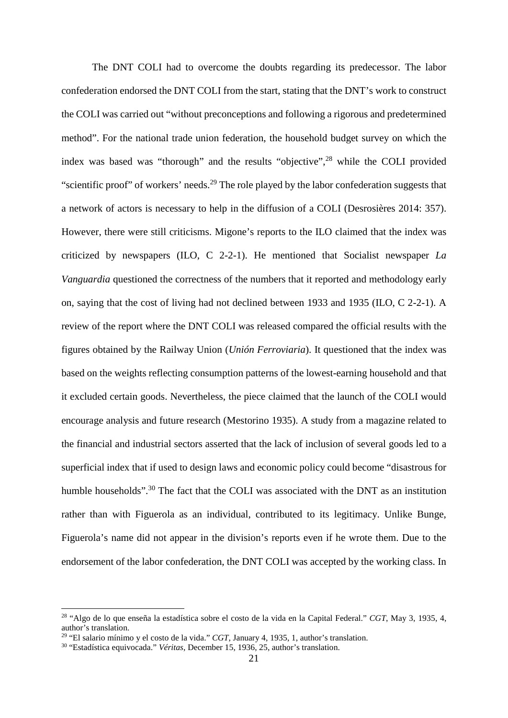The DNT COLI had to overcome the doubts regarding its predecessor. The labor confederation endorsed the DNT COLI from the start, stating that the DNT's work to construct the COLI was carried out "without preconceptions and following a rigorous and predetermined method". For the national trade union federation, the household budget survey on which the index was based was "thorough" and the results "objective",<sup>28</sup> while the COLI provided "scientific proof" of workers' needs.<sup>29</sup> The role played by the labor confederation suggests that a network of actors is necessary to help in the diffusion of a COLI (Desrosières 2014: 357). However, there were still criticisms. Migone's reports to the ILO claimed that the index was criticized by newspapers (ILO, C 2-2-1). He mentioned that Socialist newspaper *La Vanguardia* questioned the correctness of the numbers that it reported and methodology early on, saying that the cost of living had not declined between 1933 and 1935 (ILO, C 2-2-1). A review of the report where the DNT COLI was released compared the official results with the figures obtained by the Railway Union (*Unión Ferroviaria*). It questioned that the index was based on the weights reflecting consumption patterns of the lowest-earning household and that it excluded certain goods. Nevertheless, the piece claimed that the launch of the COLI would encourage analysis and future research (Mestorino 1935). A study from a magazine related to the financial and industrial sectors asserted that the lack of inclusion of several goods led to a superficial index that if used to design laws and economic policy could become "disastrous for humble households".<sup>30</sup> The fact that the COLI was associated with the DNT as an institution rather than with Figuerola as an individual, contributed to its legitimacy. Unlike Bunge, Figuerola's name did not appear in the division's reports even if he wrote them. Due to the endorsement of the labor confederation, the DNT COLI was accepted by the working class. In

<sup>28</sup> "Algo de lo que enseña la estadística sobre el costo de la vida en la Capital Federal." *CGT*, May 3, 1935, 4, author's translation.

<sup>29</sup> "El salario mínimo y el costo de la vida." *CGT*, January 4, 1935, 1, author's translation.

<sup>30</sup> "Estadística equivocada." *Véritas*, December 15, 1936, 25, author's translation.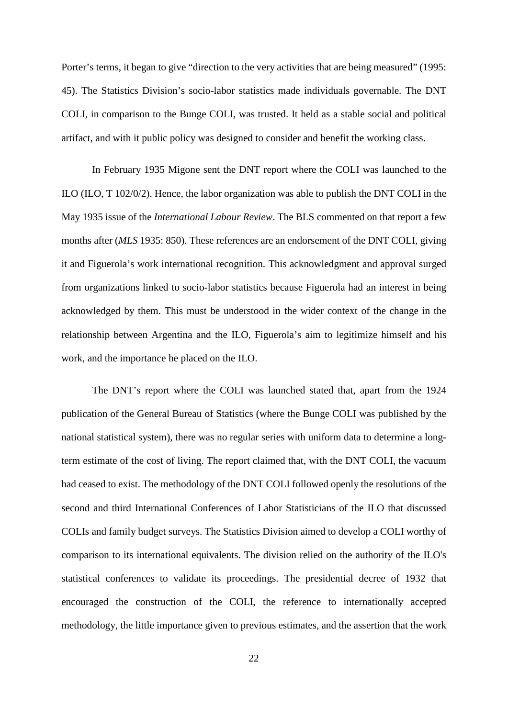Porter's terms, it began to give "direction to the very activities that are being measured" (1995: 45). The Statistics Division's socio-labor statistics made individuals governable. The DNT COLI, in comparison to the Bunge COLI, was trusted. It held as a stable social and political artifact, and with it public policy was designed to consider and benefit the working class.

In February 1935 Migone sent the DNT report where the COLI was launched to the ILO (ILO, T 102/0/2). Hence, the labor organization was able to publish the DNT COLI in the May 1935 issue of the *International Labour Review*. The BLS commented on that report a few months after (*MLS* 1935: 850). These references are an endorsement of the DNT COLI, giving it and Figuerola's work international recognition. This acknowledgment and approval surged from organizations linked to socio-labor statistics because Figuerola had an interest in being acknowledged by them. This must be understood in the wider context of the change in the relationship between Argentina and the ILO, Figuerola's aim to legitimize himself and his work, and the importance he placed on the ILO.

The DNT's report where the COLI was launched stated that, apart from the 1924 publication of the General Bureau of Statistics (where the Bunge COLI was published by the national statistical system), there was no regular series with uniform data to determine a longterm estimate of the cost of living. The report claimed that, with the DNT COLI, the vacuum had ceased to exist. The methodology of the DNT COLI followed openly the resolutions of the second and third International Conferences of Labor Statisticians of the ILO that discussed COLIs and family budget surveys. The Statistics Division aimed to develop a COLI worthy of comparison to its international equivalents. The division relied on the authority of the ILO's statistical conferences to validate its proceedings. The presidential decree of 1932 that encouraged the construction of the COLI, the reference to internationally accepted methodology, the little importance given to previous estimates, and the assertion that the work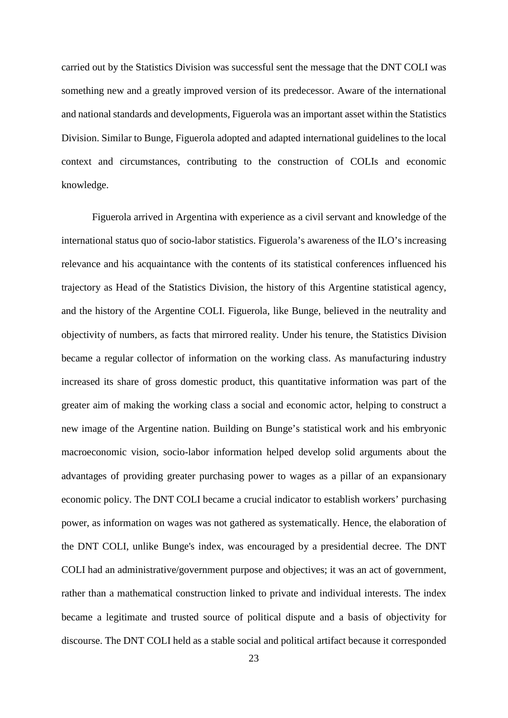carried out by the Statistics Division was successful sent the message that the DNT COLI was something new and a greatly improved version of its predecessor. Aware of the international and national standards and developments, Figuerola was an important asset within the Statistics Division. Similar to Bunge, Figuerola adopted and adapted international guidelines to the local context and circumstances, contributing to the construction of COLIs and economic knowledge.

Figuerola arrived in Argentina with experience as a civil servant and knowledge of the international status quo of socio-labor statistics. Figuerola's awareness of the ILO's increasing relevance and his acquaintance with the contents of its statistical conferences influenced his trajectory as Head of the Statistics Division, the history of this Argentine statistical agency, and the history of the Argentine COLI. Figuerola, like Bunge, believed in the neutrality and objectivity of numbers, as facts that mirrored reality. Under his tenure, the Statistics Division became a regular collector of information on the working class. As manufacturing industry increased its share of gross domestic product, this quantitative information was part of the greater aim of making the working class a social and economic actor, helping to construct a new image of the Argentine nation. Building on Bunge's statistical work and his embryonic macroeconomic vision, socio-labor information helped develop solid arguments about the advantages of providing greater purchasing power to wages as a pillar of an expansionary economic policy. The DNT COLI became a crucial indicator to establish workers' purchasing power, as information on wages was not gathered as systematically. Hence, the elaboration of the DNT COLI, unlike Bunge's index, was encouraged by a presidential decree. The DNT COLI had an administrative/government purpose and objectives; it was an act of government, rather than a mathematical construction linked to private and individual interests. The index became a legitimate and trusted source of political dispute and a basis of objectivity for discourse. The DNT COLI held as a stable social and political artifact because it corresponded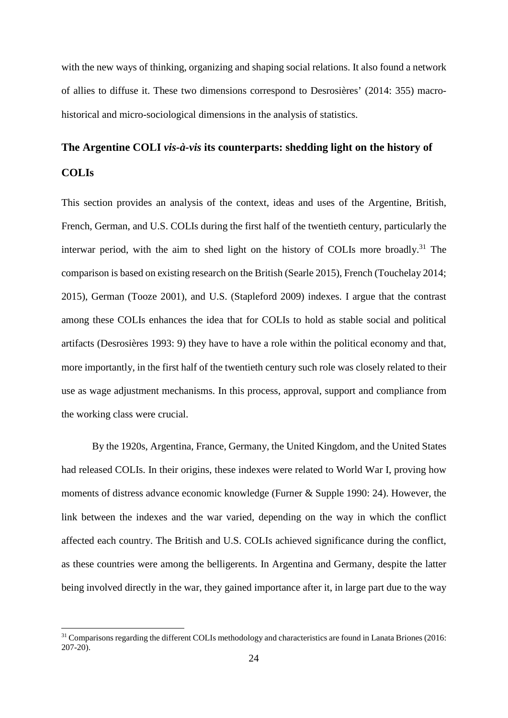with the new ways of thinking, organizing and shaping social relations. It also found a network of allies to diffuse it. These two dimensions correspond to Desrosières' (2014: 355) macrohistorical and micro-sociological dimensions in the analysis of statistics.

# **The Argentine COLI** *vis-à-vis* **its counterparts: shedding light on the history of COLIs**

This section provides an analysis of the context, ideas and uses of the Argentine, British, French, German, and U.S. COLIs during the first half of the twentieth century, particularly the interwar period, with the aim to shed light on the history of COLIs more broadly.<sup>31</sup> The comparison is based on existing research on the British (Searle 2015), French (Touchelay 2014; 2015), German (Tooze 2001), and U.S. (Stapleford 2009) indexes. I argue that the contrast among these COLIs enhances the idea that for COLIs to hold as stable social and political artifacts (Desrosières 1993: 9) they have to have a role within the political economy and that, more importantly, in the first half of the twentieth century such role was closely related to their use as wage adjustment mechanisms. In this process, approval, support and compliance from the working class were crucial.

By the 1920s, Argentina, France, Germany, the United Kingdom, and the United States had released COLIs. In their origins, these indexes were related to World War I, proving how moments of distress advance economic knowledge (Furner & Supple 1990: 24). However, the link between the indexes and the war varied, depending on the way in which the conflict affected each country. The British and U.S. COLIs achieved significance during the conflict, as these countries were among the belligerents. In Argentina and Germany, despite the latter being involved directly in the war, they gained importance after it, in large part due to the way

<sup>&</sup>lt;sup>31</sup> Comparisons regarding the different COLIs methodology and characteristics are found in Lanata Briones (2016: 207-20).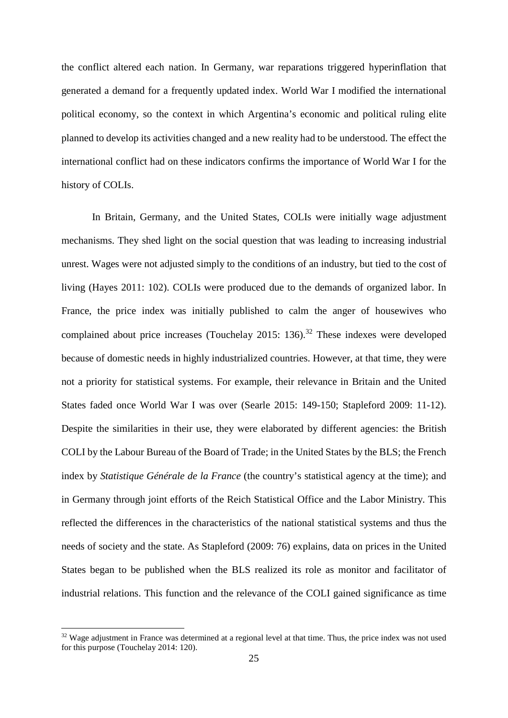the conflict altered each nation. In Germany, war reparations triggered hyperinflation that generated a demand for a frequently updated index. World War I modified the international political economy, so the context in which Argentina's economic and political ruling elite planned to develop its activities changed and a new reality had to be understood. The effect the international conflict had on these indicators confirms the importance of World War I for the history of COLIs.

In Britain, Germany, and the United States, COLIs were initially wage adjustment mechanisms. They shed light on the social question that was leading to increasing industrial unrest. Wages were not adjusted simply to the conditions of an industry, but tied to the cost of living (Hayes 2011: 102). COLIs were produced due to the demands of organized labor. In France, the price index was initially published to calm the anger of housewives who complained about price increases (Touchelay  $2015: 136$ ).<sup>32</sup> These indexes were developed because of domestic needs in highly industrialized countries. However, at that time, they were not a priority for statistical systems. For example, their relevance in Britain and the United States faded once World War I was over (Searle 2015: 149-150; Stapleford 2009: 11-12). Despite the similarities in their use, they were elaborated by different agencies: the British COLI by the Labour Bureau of the Board of Trade; in the United States by the BLS; the French index by *Statistique Générale de la France* (the country's statistical agency at the time); and in Germany through joint efforts of the Reich Statistical Office and the Labor Ministry. This reflected the differences in the characteristics of the national statistical systems and thus the needs of society and the state. As Stapleford (2009: 76) explains, data on prices in the United States began to be published when the BLS realized its role as monitor and facilitator of industrial relations. This function and the relevance of the COLI gained significance as time

<sup>&</sup>lt;sup>32</sup> Wage adjustment in France was determined at a regional level at that time. Thus, the price index was not used for this purpose (Touchelay 2014: 120).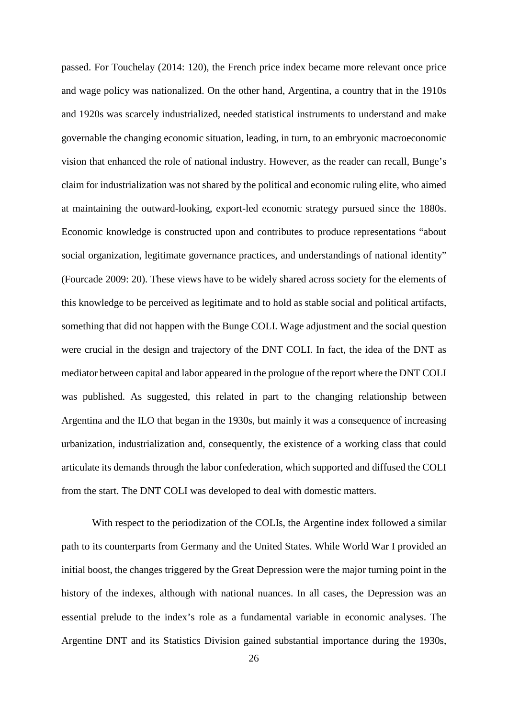passed. For Touchelay (2014: 120), the French price index became more relevant once price and wage policy was nationalized. On the other hand, Argentina, a country that in the 1910s and 1920s was scarcely industrialized, needed statistical instruments to understand and make governable the changing economic situation, leading, in turn, to an embryonic macroeconomic vision that enhanced the role of national industry. However, as the reader can recall, Bunge's claim for industrialization was not shared by the political and economic ruling elite, who aimed at maintaining the outward-looking, export-led economic strategy pursued since the 1880s. Economic knowledge is constructed upon and contributes to produce representations "about social organization, legitimate governance practices, and understandings of national identity" (Fourcade 2009: 20). These views have to be widely shared across society for the elements of this knowledge to be perceived as legitimate and to hold as stable social and political artifacts, something that did not happen with the Bunge COLI. Wage adjustment and the social question were crucial in the design and trajectory of the DNT COLI. In fact, the idea of the DNT as mediator between capital and labor appeared in the prologue of the report where the DNT COLI was published. As suggested, this related in part to the changing relationship between Argentina and the ILO that began in the 1930s, but mainly it was a consequence of increasing urbanization, industrialization and, consequently, the existence of a working class that could articulate its demands through the labor confederation, which supported and diffused the COLI from the start. The DNT COLI was developed to deal with domestic matters.

With respect to the periodization of the COLIs, the Argentine index followed a similar path to its counterparts from Germany and the United States. While World War I provided an initial boost, the changes triggered by the Great Depression were the major turning point in the history of the indexes, although with national nuances. In all cases, the Depression was an essential prelude to the index's role as a fundamental variable in economic analyses. The Argentine DNT and its Statistics Division gained substantial importance during the 1930s,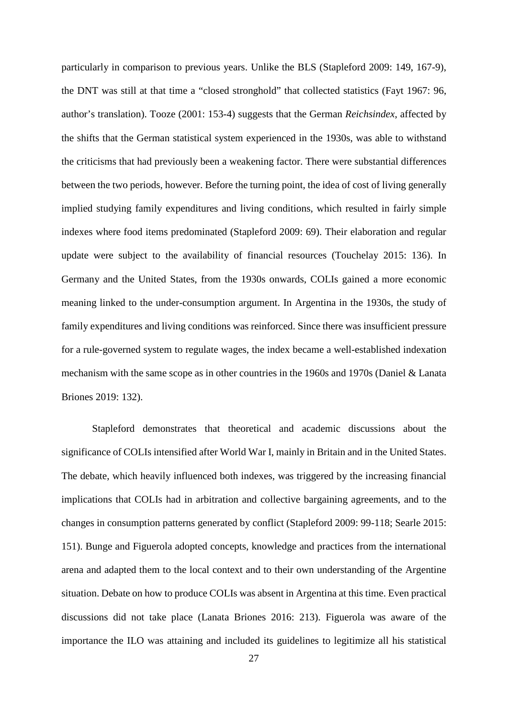particularly in comparison to previous years. Unlike the BLS (Stapleford 2009: 149, 167-9), the DNT was still at that time a "closed stronghold" that collected statistics (Fayt 1967: 96, author's translation). Tooze (2001: 153-4) suggests that the German *Reichsindex*, affected by the shifts that the German statistical system experienced in the 1930s, was able to withstand the criticisms that had previously been a weakening factor. There were substantial differences between the two periods, however. Before the turning point, the idea of cost of living generally implied studying family expenditures and living conditions, which resulted in fairly simple indexes where food items predominated (Stapleford 2009: 69). Their elaboration and regular update were subject to the availability of financial resources (Touchelay 2015: 136). In Germany and the United States, from the 1930s onwards, COLIs gained a more economic meaning linked to the under-consumption argument. In Argentina in the 1930s, the study of family expenditures and living conditions was reinforced. Since there was insufficient pressure for a rule-governed system to regulate wages, the index became a well-established indexation mechanism with the same scope as in other countries in the 1960s and 1970s (Daniel & Lanata Briones 2019: 132).

Stapleford demonstrates that theoretical and academic discussions about the significance of COLIs intensified after World War I, mainly in Britain and in the United States. The debate, which heavily influenced both indexes, was triggered by the increasing financial implications that COLIs had in arbitration and collective bargaining agreements, and to the changes in consumption patterns generated by conflict (Stapleford 2009: 99-118; Searle 2015: 151). Bunge and Figuerola adopted concepts, knowledge and practices from the international arena and adapted them to the local context and to their own understanding of the Argentine situation. Debate on how to produce COLIs was absent in Argentina at this time. Even practical discussions did not take place (Lanata Briones 2016: 213). Figuerola was aware of the importance the ILO was attaining and included its guidelines to legitimize all his statistical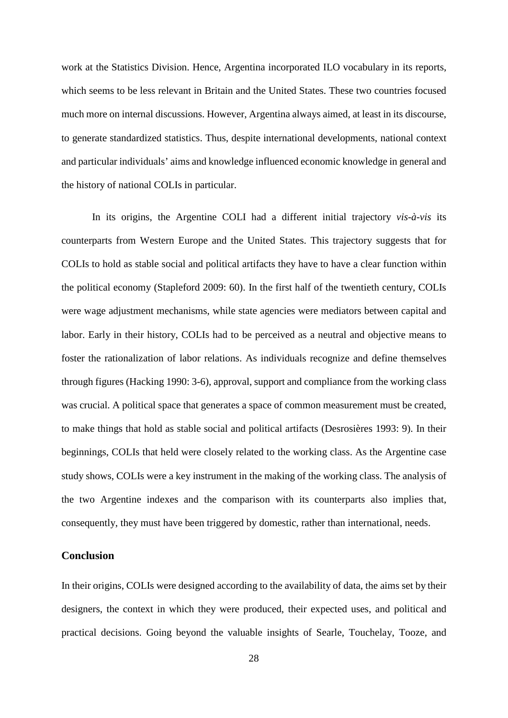work at the Statistics Division. Hence, Argentina incorporated ILO vocabulary in its reports, which seems to be less relevant in Britain and the United States. These two countries focused much more on internal discussions. However, Argentina always aimed, at least in its discourse, to generate standardized statistics. Thus, despite international developments, national context and particular individuals' aims and knowledge influenced economic knowledge in general and the history of national COLIs in particular.

In its origins, the Argentine COLI had a different initial trajectory *vis-à-vis* its counterparts from Western Europe and the United States. This trajectory suggests that for COLIs to hold as stable social and political artifacts they have to have a clear function within the political economy (Stapleford 2009: 60). In the first half of the twentieth century, COLIs were wage adjustment mechanisms, while state agencies were mediators between capital and labor. Early in their history, COLIs had to be perceived as a neutral and objective means to foster the rationalization of labor relations. As individuals recognize and define themselves through figures (Hacking 1990: 3-6), approval, support and compliance from the working class was crucial. A political space that generates a space of common measurement must be created, to make things that hold as stable social and political artifacts (Desrosières 1993: 9). In their beginnings, COLIs that held were closely related to the working class. As the Argentine case study shows, COLIs were a key instrument in the making of the working class. The analysis of the two Argentine indexes and the comparison with its counterparts also implies that, consequently, they must have been triggered by domestic, rather than international, needs.

## **Conclusion**

In their origins, COLIs were designed according to the availability of data, the aims set by their designers, the context in which they were produced, their expected uses, and political and practical decisions. Going beyond the valuable insights of Searle, Touchelay, Tooze, and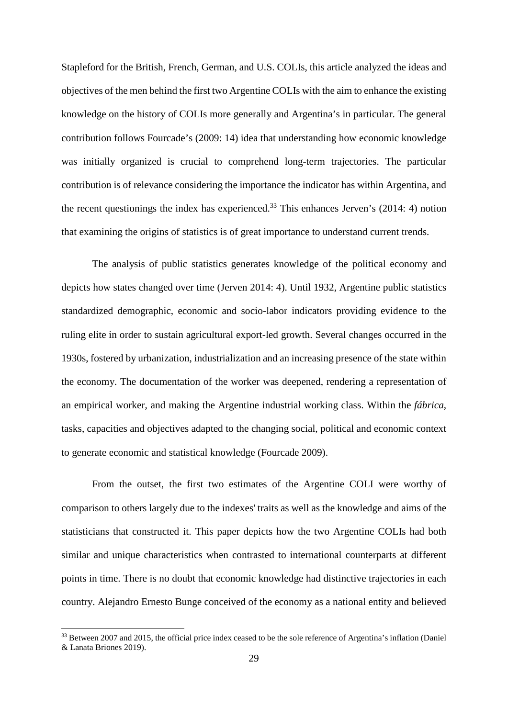Stapleford for the British, French, German, and U.S. COLIs, this article analyzed the ideas and objectives of the men behind the first two Argentine COLIs with the aim to enhance the existing knowledge on the history of COLIs more generally and Argentina's in particular. The general contribution follows Fourcade's (2009: 14) idea that understanding how economic knowledge was initially organized is crucial to comprehend long-term trajectories. The particular contribution is of relevance considering the importance the indicator has within Argentina, and the recent questionings the index has experienced.<sup>33</sup> This enhances Jerven's  $(2014: 4)$  notion that examining the origins of statistics is of great importance to understand current trends.

The analysis of public statistics generates knowledge of the political economy and depicts how states changed over time (Jerven 2014: 4). Until 1932, Argentine public statistics standardized demographic, economic and socio-labor indicators providing evidence to the ruling elite in order to sustain agricultural export-led growth. Several changes occurred in the 1930s, fostered by urbanization, industrialization and an increasing presence of the state within the economy. The documentation of the worker was deepened, rendering a representation of an empirical worker, and making the Argentine industrial working class. Within the *fábrica*, tasks, capacities and objectives adapted to the changing social, political and economic context to generate economic and statistical knowledge (Fourcade 2009).

From the outset, the first two estimates of the Argentine COLI were worthy of comparison to others largely due to the indexes' traits as well as the knowledge and aims of the statisticians that constructed it. This paper depicts how the two Argentine COLIs had both similar and unique characteristics when contrasted to international counterparts at different points in time. There is no doubt that economic knowledge had distinctive trajectories in each country. Alejandro Ernesto Bunge conceived of the economy as a national entity and believed

<sup>&</sup>lt;sup>33</sup> Between 2007 and 2015, the official price index ceased to be the sole reference of Argentina's inflation (Daniel & Lanata Briones 2019).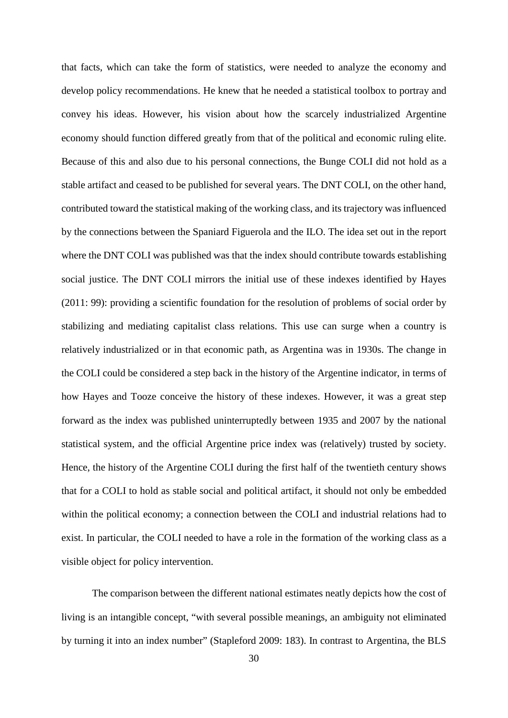that facts, which can take the form of statistics, were needed to analyze the economy and develop policy recommendations. He knew that he needed a statistical toolbox to portray and convey his ideas. However, his vision about how the scarcely industrialized Argentine economy should function differed greatly from that of the political and economic ruling elite. Because of this and also due to his personal connections, the Bunge COLI did not hold as a stable artifact and ceased to be published for several years. The DNT COLI, on the other hand, contributed toward the statistical making of the working class, and its trajectory was influenced by the connections between the Spaniard Figuerola and the ILO. The idea set out in the report where the DNT COLI was published was that the index should contribute towards establishing social justice. The DNT COLI mirrors the initial use of these indexes identified by Hayes (2011: 99): providing a scientific foundation for the resolution of problems of social order by stabilizing and mediating capitalist class relations. This use can surge when a country is relatively industrialized or in that economic path, as Argentina was in 1930s. The change in the COLI could be considered a step back in the history of the Argentine indicator, in terms of how Hayes and Tooze conceive the history of these indexes. However, it was a great step forward as the index was published uninterruptedly between 1935 and 2007 by the national statistical system, and the official Argentine price index was (relatively) trusted by society. Hence, the history of the Argentine COLI during the first half of the twentieth century shows that for a COLI to hold as stable social and political artifact, it should not only be embedded within the political economy; a connection between the COLI and industrial relations had to exist. In particular, the COLI needed to have a role in the formation of the working class as a visible object for policy intervention.

The comparison between the different national estimates neatly depicts how the cost of living is an intangible concept, "with several possible meanings, an ambiguity not eliminated by turning it into an index number" (Stapleford 2009: 183). In contrast to Argentina, the BLS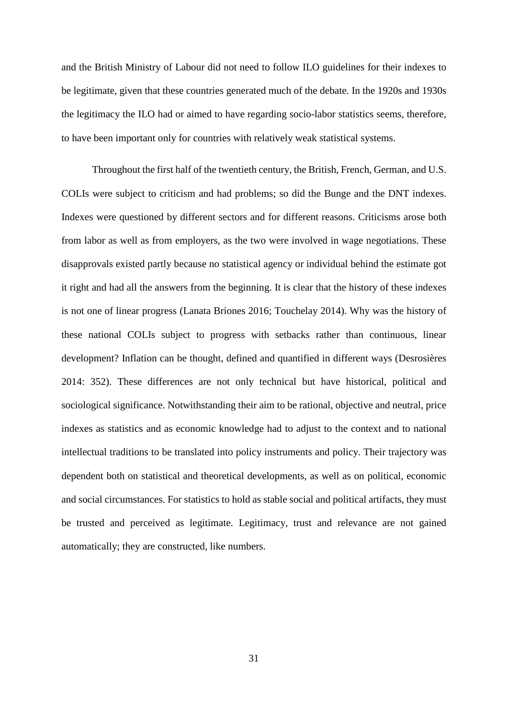and the British Ministry of Labour did not need to follow ILO guidelines for their indexes to be legitimate, given that these countries generated much of the debate. In the 1920s and 1930s the legitimacy the ILO had or aimed to have regarding socio-labor statistics seems, therefore, to have been important only for countries with relatively weak statistical systems.

Throughout the first half of the twentieth century, the British, French, German, and U.S. COLIs were subject to criticism and had problems; so did the Bunge and the DNT indexes. Indexes were questioned by different sectors and for different reasons. Criticisms arose both from labor as well as from employers, as the two were involved in wage negotiations. These disapprovals existed partly because no statistical agency or individual behind the estimate got it right and had all the answers from the beginning. It is clear that the history of these indexes is not one of linear progress (Lanata Briones 2016; Touchelay 2014). Why was the history of these national COLIs subject to progress with setbacks rather than continuous, linear development? Inflation can be thought, defined and quantified in different ways (Desrosières 2014: 352). These differences are not only technical but have historical, political and sociological significance. Notwithstanding their aim to be rational, objective and neutral, price indexes as statistics and as economic knowledge had to adjust to the context and to national intellectual traditions to be translated into policy instruments and policy. Their trajectory was dependent both on statistical and theoretical developments, as well as on political, economic and social circumstances. For statistics to hold as stable social and political artifacts, they must be trusted and perceived as legitimate. Legitimacy, trust and relevance are not gained automatically; they are constructed, like numbers.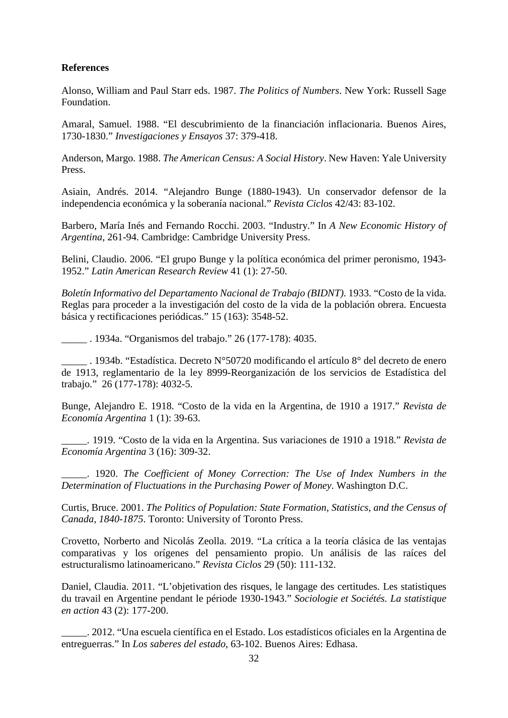## **References**

Alonso, William and Paul Starr eds. 1987. *The Politics of Numbers*. New York: Russell Sage Foundation.

Amaral, Samuel. 1988. "El descubrimiento de la financiación inflacionaria. Buenos Aires, 1730-1830." *Investigaciones y Ensayos* 37: 379-418.

Anderson, Margo. 1988. *The American Census: A Social History*. New Haven: Yale University Press.

Asiain, Andrés. 2014. "Alejandro Bunge (1880-1943). Un conservador defensor de la independencia económica y la soberanía nacional." *Revista Ciclos* 42/43: 83-102.

Barbero, María Inés and Fernando Rocchi. 2003. "Industry." In *A New Economic History of Argentina*, 261-94. Cambridge: Cambridge University Press.

Belini, Claudio. 2006. "El grupo Bunge y la política económica del primer peronismo, 1943- 1952." *Latin American Research Review* 41 (1): 27-50.

*Boletín Informativo del Departamento Nacional de Trabajo (BIDNT)*. 1933. "Costo de la vida. Reglas para proceder a la investigación del costo de la vida de la población obrera. Encuesta básica y rectificaciones periódicas." 15 (163): 3548-52.

\_\_\_\_\_ . 1934a. "Organismos del trabajo." 26 (177-178): 4035.

\_\_\_\_\_ . 1934b. "Estadística. Decreto N°50720 modificando el artículo 8° del decreto de enero de 1913, reglamentario de la ley 8999-Reorganización de los servicios de Estadística del trabajo." 26 (177-178): 4032-5.

Bunge, Alejandro E. 1918. "Costo de la vida en la Argentina, de 1910 a 1917." *Revista de Economía Argentina* 1 (1): 39-63.

\_\_\_\_\_. 1919. "Costo de la vida en la Argentina. Sus variaciones de 1910 a 1918." *Revista de Economía Argentina* 3 (16): 309-32.

\_\_\_\_\_. 1920. *The Coefficient of Money Correction: The Use of Index Numbers in the Determination of Fluctuations in the Purchasing Power of Money*. Washington D.C.

Curtis, Bruce. 2001. *The Politics of Population: State Formation, Statistics, and the Census of Canada, 1840-1875*. Toronto: University of Toronto Press.

Crovetto, Norberto and Nicolás Zeolla. 2019. "La crítica a la teoría clásica de las ventajas comparativas y los orígenes del pensamiento propio. Un análisis de las raíces del estructuralismo latinoamericano." *Revista Ciclos* 29 (50): 111-132.

Daniel, Claudia. 2011. "L'objetivation des risques, le langage des certitudes. Les statistiques du travail en Argentine pendant le période 1930-1943." *Sociologie et Sociétés. La statistique en action* 43 (2): 177-200.

\_\_\_\_\_. 2012. "Una escuela científica en el Estado. Los estadísticos oficiales en la Argentina de entreguerras." In *Los saberes del estado*, 63-102. Buenos Aires: Edhasa.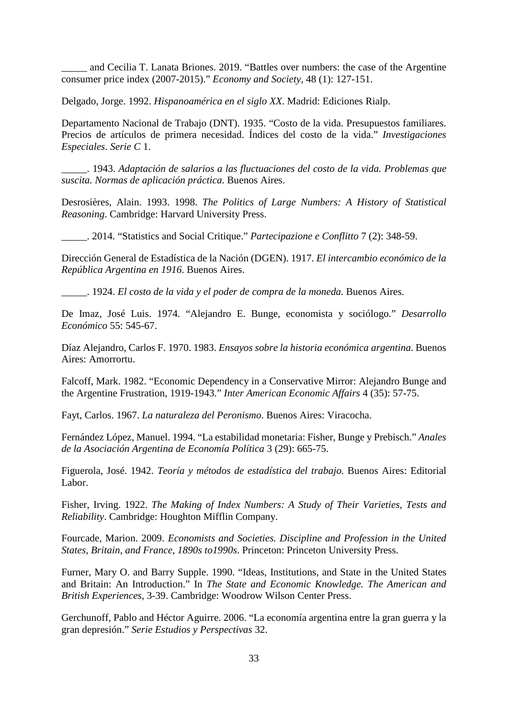and Cecilia T. Lanata Briones. 2019. "Battles over numbers: the case of the Argentine consumer price index (2007-2015)." *Economy and Society*, 48 (1): 127-151.

Delgado, Jorge. 1992. *Hispanoamérica en el siglo XX*. Madrid: Ediciones Rialp.

Departamento Nacional de Trabajo (DNT). 1935. "Costo de la vida. Presupuestos familiares. Precios de artículos de primera necesidad. Índices del costo de la vida." *Investigaciones Especiales*. *Serie C* 1.

\_\_\_\_\_. 1943. *Adaptación de salarios a las fluctuaciones del costo de la vida. Problemas que suscita. Normas de aplicación práctica*. Buenos Aires.

Desrosières, Alain. 1993. 1998. *The Politics of Large Numbers: A History of Statistical Reasoning*. Cambridge: Harvard University Press.

\_\_\_\_\_. 2014. "Statistics and Social Critique." *Partecipazione e Conflitto* 7 (2): 348-59.

Dirección General de Estadística de la Nación (DGEN). 1917. *El intercambio económico de la República Argentina en 1916*. Buenos Aires.

\_\_\_\_\_. 1924. *El costo de la vida y el poder de compra de la moneda.* Buenos Aires.

De Imaz, José Luis. 1974. "Alejandro E. Bunge, economista y sociólogo." *Desarrollo Económico* 55: 545-67.

Díaz Alejandro, Carlos F. 1970. 1983. *Ensayos sobre la historia económica argentina*. Buenos Aires: Amorrortu.

Falcoff, Mark. 1982. "Economic Dependency in a Conservative Mirror: Alejandro Bunge and the Argentine Frustration, 1919-1943." *Inter American Economic Affairs* 4 (35): 57-75.

Fayt, Carlos. 1967. *La naturaleza del Peronismo*. Buenos Aires: Viracocha.

Fernández López, Manuel. 1994. "La estabilidad monetaria: Fisher, Bunge y Prebisch." *Anales de la Asociación Argentina de Economía Política* 3 (29): 665-75.

Figuerola, José. 1942. *Teoría y métodos de estadística del trabajo.* Buenos Aires: Editorial Labor.

Fisher, Irving. 1922. *The Making of Index Numbers: A Study of Their Varieties, Tests and Reliability*. Cambridge: Houghton Mifflin Company.

Fourcade, Marion. 2009. *Economists and Societies. Discipline and Profession in the United States, Britain, and France, 1890s to1990s*. Princeton: Princeton University Press.

Furner, Mary O. and Barry Supple. 1990. "Ideas, Institutions, and State in the United States and Britain: An Introduction." In *The State and Economic Knowledge. The American and British Experiences*, 3-39. Cambridge: [Woodrow Wilson Center Press.](http://admin.cambridge.org/academic/subjects/history/american-history-general-interest/series/woodrow-wilson-center-press)

Gerchunoff, Pablo and Héctor Aguirre. 2006. "La economía argentina entre la gran guerra y la gran depresión." *Serie Estudios y Perspectivas* 32.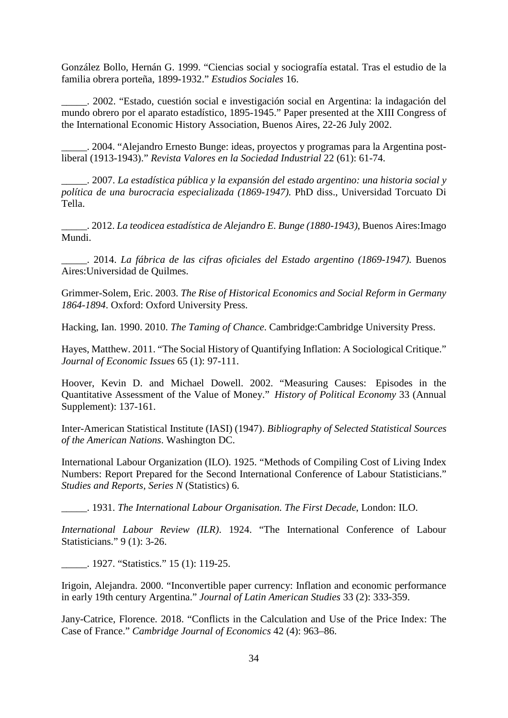González Bollo, Hernán G. 1999. "Ciencias social y sociografía estatal. Tras el estudio de la familia obrera porteña, 1899-1932." *Estudios Sociales* 16.

\_\_\_\_\_. 2002. "Estado, cuestión social e investigación social en Argentina: la indagación del mundo obrero por el aparato estadístico, 1895-1945." Paper presented at the XIII Congress of the International Economic History Association, Buenos Aires, 22-26 July 2002.

\_\_\_\_\_. 2004. "Alejandro Ernesto Bunge: ideas, proyectos y programas para la Argentina postliberal (1913-1943)." *Revista Valores en la Sociedad Industrial* 22 (61): 61-74.

\_\_\_\_\_. 2007. *La estadística pública y la expansión del estado argentino: una historia social y política de una burocracia especializada (1869-1947)*. PhD diss., Universidad Torcuato Di Tella.

\_\_\_\_\_. 2012. *La teodicea estadística de Alejandro E. Bunge (1880-1943)*, Buenos Aires:Imago Mundi.

\_\_\_\_\_. 2014. *La fábrica de las cifras oficiales del Estado argentino (1869-1947)*. Buenos Aires:Universidad de Quilmes.

Grimmer-Solem, Eric. 2003. *The Rise of Historical Economics and Social Reform in Germany 1864-1894*. Oxford: Oxford University Press.

Hacking, Ian. 1990. 2010. *The Taming of Chance*. Cambridge:Cambridge University Press.

Hayes, Matthew. 2011. "The Social History of Quantifying Inflation: A Sociological Critique." *Journal of Economic Issues* 65 (1): 97-111.

Hoover, Kevin D. and Michael Dowell. 2002. ["Measuring Causes: Episodes in the](http://public.econ.duke.edu/~kdh9/Source%20Materials/Research/10.%20Measuring%20Causes.pdf)  [Quantitative Assessment of the Value of Money.](http://public.econ.duke.edu/~kdh9/Source%20Materials/Research/10.%20Measuring%20Causes.pdf)" *History of Political Economy* 33 (Annual Supplement): 137-161.

Inter-American Statistical Institute (IASI) (1947). *Bibliography of Selected Statistical Sources of the American Nations*. Washington DC.

International Labour Organization (ILO). 1925. "Methods of Compiling Cost of Living Index Numbers: Report Prepared for the Second International Conference of Labour Statisticians." *Studies and Reports, Series N* (Statistics) 6.

\_\_\_\_\_. 1931. *The International Labour Organisation. The First Decade*, London: ILO.

*International Labour Review (ILR)*. 1924. "The International Conference of Labour Statisticians." 9 (1): 3-26.

\_\_\_\_\_. 1927. "Statistics." 15 (1): 119-25.

Irigoin, Alejandra. 2000. "Inconvertible paper currency: Inflation and economic performance in early 19th century Argentina." *Journal of Latin American Studies* 33 (2): 333-359.

Jany-Catrice, Florence. 2018. "Conflicts in the Calculation and Use of the Price Index: The Case of France." *Cambridge Journal of Economics* 42 (4): 963–86.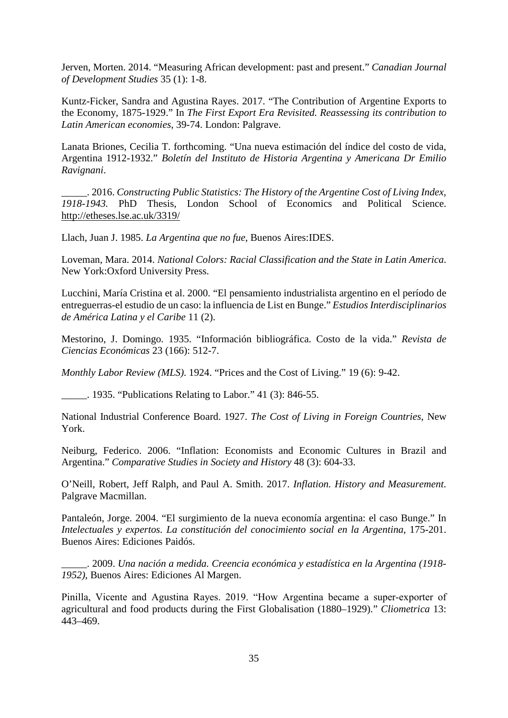Jerven, Morten. 2014. "Measuring African development: past and present." *Canadian Journal of Development Studies* 35 (1): 1-8.

Kuntz-Ficker, Sandra and Agustina Rayes. 2017. "The Contribution of Argentine Exports to the Economy, 1875-1929." In *The First Export Era Revisited. Reassessing its contribution to Latin American economies*, 39-74. London: Palgrave.

Lanata Briones, Cecilia T. forthcoming. "Una nueva estimación del índice del costo de vida, Argentina 1912-1932." *Boletín del Instituto de Historia Argentina y Americana Dr Emilio Ravignani*.

\_\_\_\_\_. 2016. *Constructing Public Statistics: The History of the Argentine Cost of Living Index, 1918-1943.* PhD Thesis, London School of Economics and Political Science. <http://etheses.lse.ac.uk/3319/>

Llach, Juan J. 1985. *La Argentina que no fue*, Buenos Aires:IDES.

Loveman, Mara. 2014. *National Colors: Racial Classification and the State in Latin America*. New York:Oxford University Press.

Lucchini, María Cristina et al. 2000. "El pensamiento industrialista argentino en el período de entreguerras-el estudio de un caso: la influencia de List en Bunge." *Estudios Interdisciplinarios de América Latina y el Caribe* 11 (2).

Mestorino, J. Domingo. 1935. "Información bibliográfica. Costo de la vida." *Revista de Ciencias Económicas* 23 (166): 512-7.

*Monthly Labor Review (MLS)*. 1924. "Prices and the Cost of Living." 19 (6): 9-42.

\_\_\_\_\_. 1935. "Publications Relating to Labor." 41 (3): 846-55.

National Industrial Conference Board. 1927. *The Cost of Living in Foreign Countries*, New York.

Neiburg, Federico. 2006. "Inflation: Economists and Economic Cultures in Brazil and Argentina." *Comparative Studies in Society and History* 48 (3): 604-33.

O'Neill, Robert, Jeff Ralph, and Paul A. Smith. 2017. *Inflation. History and Measurement*. Palgrave Macmillan.

Pantaleón, Jorge. 2004. "El surgimiento de la nueva economía argentina: el caso Bunge." In *Intelectuales y expertos. La constitución del conocimiento social en la Argentina*, 175-201. Buenos Aires: Ediciones Paidós.

\_\_\_\_\_. 2009. *Una nación a medida. Creencia económica y estadística en la Argentina (1918- 1952)*, Buenos Aires: Ediciones Al Margen.

Pinilla, Vicente and Agustina Rayes. 2019. "How Argentina became a super-exporter of agricultural and food products during the First Globalisation (1880–1929)." *Cliometrica* 13: 443–469.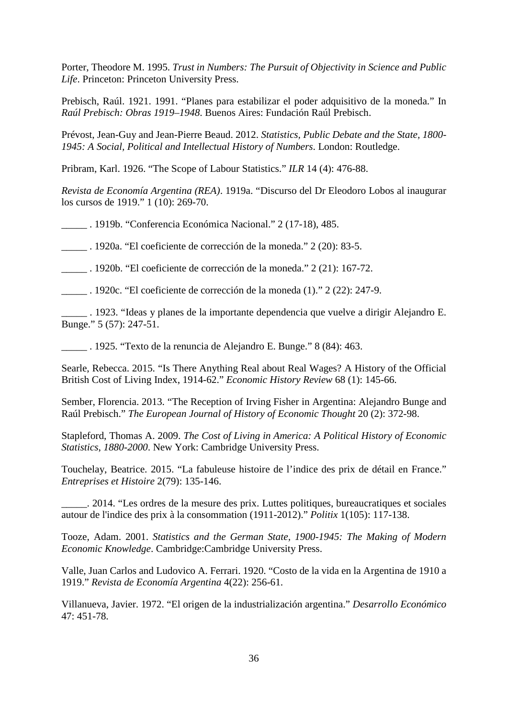Porter, Theodore M. 1995. *Trust in Numbers: The Pursuit of Objectivity in Science and Public Life*. Princeton: Princeton University Press.

Prebisch, Raúl. 1921. 1991. "Planes para estabilizar el poder adquisitivo de la moneda." In *Raúl Prebisch: Obras 1919–1948*. Buenos Aires: Fundación Raúl Prebisch.

Prévost, Jean-Guy and Jean-Pierre Beaud. 2012. *Statistics, Public Debate and the State, 1800- 1945: A Social, Political and Intellectual History of Numbers*. London: Routledge.

Pribram, Karl. 1926. "The Scope of Labour Statistics." *ILR* 14 (4): 476-88.

*Revista de Economía Argentina (REA)*. 1919a. "Discurso del Dr Eleodoro Lobos al inaugurar los cursos de 1919." 1 (10): 269-70.

\_\_\_\_\_ . 1919b. "Conferencia Económica Nacional." 2 (17-18), 485.

\_\_\_\_\_ . 1920a. "El coeficiente de corrección de la moneda." 2 (20): 83-5.

\_\_\_\_\_ . 1920b. "El coeficiente de corrección de la moneda." 2 (21): 167-72.

\_\_\_\_\_ . 1920c. "El coeficiente de corrección de la moneda (1)." 2 (22): 247-9.

\_\_\_\_\_ . 1923. "Ideas y planes de la importante dependencia que vuelve a dirigir Alejandro E. Bunge." 5 (57): 247-51.

\_\_\_\_\_ . 1925. "Texto de la renuncia de Alejandro E. Bunge." 8 (84): 463.

Searle, Rebecca. 2015. "Is There Anything Real about Real Wages? A History of the Official British Cost of Living Index, 1914-62." *Economic History Review* 68 (1): 145-66.

Sember, Florencia. 2013. "The Reception of Irving Fisher in Argentina: Alejandro Bunge and Raúl Prebisch." *The European Journal of History of Economic Thought* 20 (2): 372-98.

Stapleford, Thomas A. 2009. *The Cost of Living in America: A Political History of Economic Statistics*, *1880-2000*. New York: Cambridge University Press.

Touchelay, Beatrice. 2015. "La fabuleuse histoire de l'indice des prix de détail en France." *Entreprises et Histoire* 2(79): 135-146.

\_\_\_\_\_. 2014. "Les ordres de la mesure des prix. Luttes politiques, bureaucratiques et sociales autour de l'indice des prix à la consommation (1911-2012)." *Politix* 1(105): 117-138.

Tooze, Adam. 2001. *Statistics and the German State, 1900-1945: The Making of Modern Economic Knowledge*. Cambridge:Cambridge University Press.

Valle, Juan Carlos and Ludovico A. Ferrari. 1920. "Costo de la vida en la Argentina de 1910 a 1919." *Revista de Economía Argentina* 4(22): 256-61.

Villanueva, Javier. 1972. "El origen de la industrialización argentina." *Desarrollo Económico* 47: 451-78.